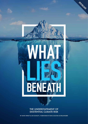

### THE UNDERSTATEMENT OF EXISTENTIAL CLIMATE RISK

BY DAVID SPRATT & IAN DUNLOP | FOREWORD BY HANS JOACHIM SCHELLNHUBER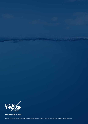

**BREAKTHROUGHONLINE.ORG.AU**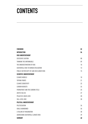# **CONTENTS**

| <b>FOREWORD</b>                               | 02 |
|-----------------------------------------------|----|
| <b>INTRODUCTION</b>                           | 04 |
| <b>RISK UNDERSTATEMENT</b>                    |    |
| <b>EXCESSIVE CAUTION</b>                      | 08 |
| <b>THINKING THE UNTHINKABLE</b>               | 09 |
| THE UNDERESTIMATION OF RISK                   | 10 |
| <b>EXISTENTIAL RISK TO HUMAN CIVILISATION</b> | 13 |
| PUBLIC SECTOR DUTY OF CARE ON CLIMATE RISK    | 15 |
| <b>SCIENTIFIC UNDERSTATEMENT</b>              |    |
| <b>CLIMATE MODELS</b>                         | 18 |
| <b>TIPPING POINTS</b>                         | 21 |
| <b>CLIMATE SENSITIVITY</b>                    | 22 |
| <b>CARBON BUDGETS</b>                         | 24 |
| PERMAFROST AND THE CARBON CYCLE               | 25 |
| <b>ARCTIC SEA ICE</b>                         | 27 |
| <b>POLAR ICE-MASS LOSS</b>                    | 28 |
| <b>SEA-LEVEL RISE</b>                         | 30 |
| POLITICAL UNDERSTATEMENT                      |    |
| <b>POLITICISATION</b>                         | 34 |
| <b>GOALS ABANDONED</b>                        | 36 |
| A FAILURE OF IMAGINATION                      | 38 |
| ADDRESSING EXISTENTIAL CLIMATE RISK           | 39 |
| <b>SUMMARY</b>                                | 40 |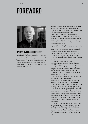## **FOREWORD**



### **BY HANS JOACHIM SCHELLNHUBER**

*Hans Joachim Schellnhuber is a professor of theoretical physics specialising in complex systems and nonlinearity, founding director of the Potsdam Institute for Climate Impact Research (1992-2018) and former chair of the German Advisory Council on Global Change. He is a senior climate advisor to the European Union, the German Chancellor and Pope Francis.*

*What Lies Beneath* is an important report. It does not deliver new facts and figures, but instead provides a new perspective on the existential risks associated with anthropogenic global warming.

It is the critical overview of well-informed intellectuals who sit outside the climate-science community which has developed over the last fifty years. All such expert communities are prone to what the French call *deformation professionelle* and the German *betriebsblindheit*.

Expressed in plain English, experts tend to establish a peer world-view which becomes ever more rigid and focussed. Yet the crucial insights regarding the issue in question may lurk at the fringes, as this report suggests. This is particularly true when the issue is the very survival of our civilisation, where conventional means of analysis may become useless.

This dilemma notwithstanding, the Intergovernmental Panel on Climate Change (IPCC) bravely perseveres with its attempts to assess the multiple cause-and-effect relationships which comprise the climate problem. After delivering five fully-fledged assessment reports, it is hardly surprising that a trend towards "erring on the side of least drama" has emerged.

There are many reasons, both subtle and mundane. Let me highlight just one of each.

Firstly, the IPCC is stricken with the *Probability Obsession*. Ever since statistics was established in the16th century, scientists have tried to capture the complex, stochastic behaviour of a given nontrivial object (such as a roulette wheel) by repeating the same experiment on that object many, many times. If there was a set of well-defined outcomes (such as the ball ending on the red or black of the wheel), then the probability of a specific outcome was simply the number of experiments delivering that outcome divided by the total number of experiments.

This sounds reasonable, but can we even imagine applying that approach to global warming? Strictly speaking, we would have to redo the Industrial Revolution and the greenhouse-gas emissions it triggered a thousand times or so, always starting with the Earth system in its 1750 pre-industrial state.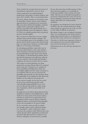Then calculate the averaged observed outcome of that planetary experiment in terms of mean

surface-temperature rise, global biological productivity, total number of climate refugees, and many other variables. This is a nonsensical notion.

Of course, climate scientists are not trying to treat the Earth like a roulette wheel, yet the statistical approach keeps on creeping into the assessments. How many times did the thermohaline circulation collapse under comparable conditions in the planetary past? How often did the Pacific enter a permanent El Niño state in the Holocene? And so on. These are valuable questions that can generate precious scientific insights.

But we must never forget that we are in a unique situation with no precise historic analogue. The level of greenhouse gases in the atmosphere is now greater, and the Earth warmer, than human beings have ever experienced. And there are almost eight billion of us now living on this planet.

So calculating probabilities makes little sense in the most critical instances, such as the methanerelease dynamics in thawing permafrost areas or the potential failing of entire states in the climate crisis. Rather, we should identify *possibilities*, that is, potential developments in the planetary make-up that are consistent with the initial and boundary conditions, the processes and the drivers we know.

plusetary pasa? Phow of read the Parisie enter a<br>
what sects are sepectate to detect the constraints of the product of the state of the control percisions of the constraints of the constraints of the constraints of the con This is akin to scenario planning, now being proposed for assessing climate risks in the corporate sector, where the consequences of a number of future possibilities, including those which may seem highly unlikely, but have major consequences, are evaluated. This way one can overcome the probability obsession that not only fantasizes about the replicability of the singular, but also favours the familiar over the unknown and unexpected.

As an extreme example, the fact that our world has never been destroyed previously would conventionally assign probability zero to such an event. But this only holds true under steadystate assumptions, which are practically never warranted.

Secondly, there is the *Devil's Advocate Reward*. In the magnificent tradition of the Enlightenment, which shattered so many myths of the ancient regimes, scientists are trained to be sceptical about every proposition which cannot be directly verified by empirical evidence or derived from first principles (such as the invariability of the speed of light).

So, if a researcher comes up with an entirely new thought, experts tend to reflexively dismiss it as "speculative", which is effectively a death warrant in the academic world. Whereas those who criticize the idea will be applauded, rewarded and promoted! This phenomenon is evident in every seminar, colloquium or learned-society assembly.

In turn, this means that scientific progress is often driven from the periphery, or occasionally, by eminent personalities whose seniority is beyond doubt. This does not at all imply that hypotheses need not be vindicated in due course, but out-ofthe-box thinking is vital given the unprecedented climate risks which now confront human civilisation.

In conclusion, one should not be overly critical of the IPCC, since the scientists involved are doing what scientists are expected to do, to the very best of their ability in difficult circumstances.

But climate change is now reaching the end-game, where very soon humanity must choose between taking unprecedented action, or accepting that it has been left too late and bear the consequences.

Therefore, it is all the more important to listen to non-mainstream voices who do understand the issues and are less hesitant to cry wolf.

Unfortunately for us, the wolf may already be in the house.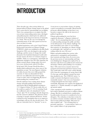### **INTRODUCTION**

Three decades ago, when serious debate on human-induced climate change began at the global level, a great deal of statesmanship was on display. There was a preparedness to recognise that this was an issue transcending nation states, ideologies and political parties which had to be addressed proactively in the long-term interests of humanity as a whole. This was the case even though the existential nature of the risk it posed was far less clear cut than it is today.

As global institutions, such as the United Nations Framework Convention on Climate Change (UNFCCC) which was established at the Rio Earth Summit in 1992, were developed to take up this challenge, and the extent of change this would demand of the fossil-fuel-dominated world order became clearer, the forces of resistance began to mobilise. Today, as a consequence, and despite the diplomatic triumph of the 2015 *Paris Agreement*, the debate around climate change policy has never been more dysfunctional, indeed Orwellian.

In his book *1984*, George Orwell describes a double-think totalitarian state where most of the population accepts "the most flagrant violations of reality, because they never fully grasped the enormity of what was demanded of them, and were not sufficiently interested in public events to notice what was happening. By lack of understanding they remained sane."1

Orwell could have been writing about climate change and policymaking. International agreements talk of limiting global warming to 1.5–2 degrees Celsius (°C), but in reality they set the world on a path of 3–5°C of warming. Goals are reaffirmed, only to be abandoned. Coal is "clean". Just 1°C of warming is already dangerous, but this cannot be admitted. The planetary future is hostage to myopic national self-interest. Action is delayed on the assumption that as yet unproven technologies will save the day, decades hence. The risks are existential, but it is "alarmist*"* to say so.

A one-in-two or one-in-three chance of missing a goal is normalised as reasonable. Moral hazard permeates official thinking, in that there is an incentive to ignore the risks in the interests of political expediency.

Climate policymaking for years has been cognitively dissonant, "a flagrant violation of reality". So it is unsurprising that there is a lack of understanding amongst the public and elites of the full measure of the climate challenge. Yet most Australians sense where we are heading: three-quarters of Australians see climate change as catastrophic risk,<sup>2</sup> and half see our way of life ending within the next 100 years.<sup>3</sup>

Politics and policymaking have norms: rules and practices, assumptions and boundaries, that constrain and shape them. In recent years, the previous norms of statesmanship and longterm thinking have disappeared, replaced by an obsession with short-term political and commercial advantage. Climate policymaking is no exception. Since 1992, short-term economic interest has trumped environmental and future human needs. The world today emits 50% more carbon dioxide  $\langle CO_2 \rangle$  from the consumption of energy than it did 25 years ago, and the global economy has more than doubled in size. The UNFCCC strives "to enable economic development to proceed in a sustainable manner*"*, but every year humanity's ecological footprint becomes larger and less sustainable. Humanity now requires the biophysical capacity of 1.7 Earths annually as it rapidly chews up natural capital.

A fast, emergency-scale transition to a post-fossil fuel world is absolutely necessary to address climate change. But this is excluded from consideration by policymakers because it is considered to be too disruptive. The orthodoxy is that there is time for an orderly economic transition within the current short-termist political paradigm. Discussion of what would be safe  $-$  less warming than we presently experience –– is non-existent. And so we have a policy failure of epic proportions.

<sup>1</sup> Orwell, G 1949, *Nineteen Eighty-Four. A Novel*, Secker and Warburg, London.

<sup>2</sup> CommunicateResearch 2017, 'Global Challenges Foundation global risks survey', ComRes, 24 May 2017, <http://www.comresglobal.com/polls/globalchallenges-foundation-global-risks-survey>.

<sup>3</sup> Randle, MJ & Eckersley, R 2015, 'Public perceptions of future threats to humanity and different societal responses: a cross-national study', *Futures*, vol. 72, pp. 4-16.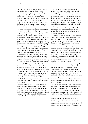Policymakers, in their magical thinking, imagine a mitigation path of gradual change to be constructed over many decades in a growing, prosperous world. The world not imagined is the one that now exists: of looming financial instability; of a global crisis of political legitimacy and "fake news"; of a sustainability crisis that extends far beyond climate change to include all the fundamentals of human existence and most significant planetary boundaries (soils, potable water, oceans, the atmosphere, biodiversity, and so on); and of severe global energy-sector dislocation.

In anticipation of the upheaval that climate change would impose upon the global order, the IPCC was established by the United Nations (UN) in 1988, charged with regularly assessing the global consensus on climate science as a basis for policymaking. The IPCC *Assessment Reports* (*AR*), produced every five-toeight years, play a large part in the public framing of the climate narrative: new reports are a global media event. *AR5* was produced in 2013-14, with *AR6* due in 2022. The IPCC has done critical, indispensable work of the highest standard in pulling together a periodic consensus of what must be the most exhaustive scientific investigation in world history. It does not carry out its own research, but reviews and collates peer-reviewed material from across the spectrum of this incredibly complex area, identifying key issues and trends for policymaker consideration.

However, the IPCC process suffers from all the dangers of consensus-building in such a wideranging and complex arena. For example, IPCC reports, of necessity, do not always contain the latest available information. Consensus-building can lead to "least drama", lowest-common-denominator outcomes, which overlook critical issues. This is particularly the case with the "fat-tails" of probability distributions, that is, the high-impact but lower-probability events where scientific knowledge is more limited.

Vested-interest pressure is acute in all directions; climate denialists accuse the IPCC of alarmism, whereas many climate action proponents consider the IPCC to be far too conservative. To cap it all, the IPCC conclusions are subject to intense political oversight before being released, which historically has had the effect of substantially watering-down sound scientific findings.

These limitations are understandable, and arguably were not of overriding importance in the early period of the IPCC. However, as time has progressed, it is now clear that the risks posed by climate change are far greater than previously anticipated. We have moved out of the twilight period of much talk, but relatively limited climate impacts, into the harsh light of physically-evident existential threats. Climate change is now turning nasty, as we have witnessed recently in the North America, East and South Asia, the Middle East and Europe, with record-breaking heatwaves and wildfires, more intense flooding and more damaging hurricanes.

The distinction between climate science and risk is the critical issue, for the two are not the same. Scientific reticence — a reluctance to spell out the full risk implications of climate science in the absence of perfect information — has become a major problem. Whilst this is understandable, particularly when scientists are continually criticised by denialists and political apparatchiks for speaking out, it is extremely dangerous given the fat-tail risks of climate change. Waiting for perfect information, as we are continually urged to do by political and economic elites, means it will be too late to act. Time is not on our side. Sensible risk management addresses risk in time to prevent it happening, and that time is now.

Irreversible, adverse climate change on the global scale now occurring is an existential risk to human civilisation. Many of the world's top climate scientists — Kevin Anderson, James Hansen, Michael E. Mann, Michael Oppenheimer, Naomi Oreskes, Stefan Rahmstorf, Eric Rignot, Hans Joachim Schellnhuber, Kevin Trenberth and others who are quoted in this report well understand these implications and are forthright about their findings, where we are heading, and the limitations of IPCC reports.

This report seeks to alert the wider community and business and political leaders to these limitations and urges changes to the IPCC approach, to the wider UNFCCC negotiations, and to national policymaking. It is clear that existing processes will not deliver the transformation to a carbon-negative world in the limited time now available.

We urgently require a reframing of scientific research within an existential risk-management framework. This requires special precautions that go well beyond conventional risk management. Like an iceberg, there is great danger in "what lies beneath".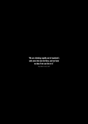**EVe are climbing rapidly out of mankind's safe zone into new territory, and we have no idea if we can live in it."**<br>
The figure climbinate  $\frac{P_{\text{out}}}{P_{\text{out}}}$  (Solution 2007) **safe zone into new territory, and we have no idea if we can live in it."**

*Prof. Robert Corell, 2007*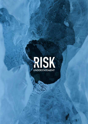

What Lies Beneath 7 and 200 percent in the U.S. of the U.S. of the U.S. of the U.S. of the U.S. of the U.S. of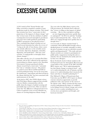## **EXCESSIVE CAUTION**

A 2013 study by Prof. Naomi Oreskes and fellow researchers examined a number of past predictions made by climate scientists. They found that scientists have been "conservative in their projections of the impacts of climate change" and that "at least some of the key attributes of global warming from increased atmospheric greenhouse gases have been under-predicted, particularly in IPCC assessments of the physical science". They concluded that climate scientists are not biased toward alarmism but rather the reverse of "erring on the side of least drama, whose causes may include adherence to the scientific norms of restraint, objectivity, skepticism, rationality, dispassion, and moderation". This may cause scientists "to underpredict or downplay future climate changes".4

This tallies with the view of economist Prof. Ross Garnaut, who in 2011 reflected on his experience in presenting two climate reports to the Australian Government. Garnaut questioned whether climate research had a conservative "systematic bias" due to "scholarly reticence". He pointed to a pattern across diverse intellectual fields of research predictions being "not too far away from the mainstream" expectations and observed that in the climate field that this "has been associated with understatement of the risks".5

As far back as 2007, then NASA climate science chief Prof. James Hansen suggested that scientific reticence hinders communication with the public about the dangers of global warming and potentially large sea-level rises. More recently he wrote that "the affliction is widespread and severe. Unless recognized, it may severely diminish our chances of averting dangerous climate change."6

Ten years after his 2006 climate report to the UK government, Sir Nicholas Stern reflected that "science is telling us that impacts of global warming — like ice sheet and glacier melting are now happening much more quickly than we anticipated".7 In 2013, he said that "Looking back, I underestimated the risks… Some of the effects are coming through more quickly than we thought then."8

A recent study of climate scientists found "a community which still identified strongly with an idealised picture of scientific rationality, in which the job of scientists is to get on with their research quietly and dispassionately".9 The study said most climate scientists are resistant to participation in public/policy engagement, leaving this task to a minority who are attacked by the media and even by their own colleagues.

Kevin Trenberth, head of climate analysis at the US National Center for Atmospheric Research and a lead author of key sections of the 2001 and 2007 IPCC reports, says: "We're underestimating the fact that climate change is rearing its head… and we're underestimating the role of humans, and this means we're underestimating what it means for the future and what we should be planning for."10

Prof. Michael E. Mann of Pennsylvania State University says the IPCC's 2012 report on climate extremes missed an opportunity to provide politicians with a clear picture of the extent of the climate crisis: "Many scientists felt that report erred by underplaying the degree of confidence in the linkage between climate change and certain types of severe weather, including heat wave severity, heavy precipitation and drought, and hurricane intensity."<sup>11</sup>

<sup>4</sup> Brysse, K, Oreskes, N, O'Reilly, J & Oppenheimer, M 2013, 'Climate change prediction: Erring on the side of least drama?', *Global Environmental Change*, vol. 23, no. 1, pp. 327-337.

<sup>5</sup> Garnaut, R 2011, *Update Paper 5: The science of climate change*, Garnaut Climate Change Review Update, Canberra, pp. 53-55.

<sup>6</sup> Hansen, J 2007, 'Scientific reticence and sea level rise', *Environmental Research Letters*, vol. 2, no. 2, 024002.

<sup>7</sup> McKee, R 2016, 'Nicholas Stern: cost of global warming "is worse than I feared"', *The Guardian*, 6 November 2016.

<sup>8</sup> Stewart, H & Elliott, L 2013, 'Nicholas Stern: "I got it wrong on climate change – it's far, far worse"', *The Guardian*, 27 January 2013.

<sup>9</sup> Hoggett, P & Randall, R 2016, 'Socially constructed silence? Protecting policymakers from the unthinkable', Transformation, 6 June 2016, <https:// www.opendemocracy.net/transformation/paul-hoggett-rosemary-randall/socially-constructed-silence-protecting-policymakers-fr>.

<sup>10</sup> Scherer, G 2012a, 'How the IPCC underestimated climate change', *Scientific American*, 6 December 2012.

<sup>11</sup> Scherer, G 2012b, 'Climate science predictions prove too conservative', *Scientific American*, 6 December 2012.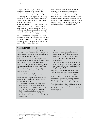Prof. Kevin Anderson of the University of Manchester says there is "an endemic bias prevalent amongst many of those building emission scenarios to underplay the scale of the 2°C challenge. In several respects, the modelling community is actually self-censoring its research (focus) to conform to the dominant political and economic paradigm…"12

A good example is the 1.5°C goal agreed to at the Paris December 2015 climate policy conference. IPCC assessment reports until that time (and in conformity with the dominant political paradigm) had not devoted any significant attention to 1.5°C emission-reduction scenarios or 1.5°C impacts, and the Paris delegates had to request the IPCC to do so as a matter of urgency. This is a clear case of politics driving the science research agenda. Research needs money, and too often money is allocated according to the political priorities of the day.

### **THINKING THE UNTHINKABLE**

Successful risk management requires thinking "outside the box" to avoid a failure of imagination, but this is a skill rarely found at the senior levels of government and global corporations.

A 2016 report, *Thinking the unthinkable,* based on interviews with top leaders around the world, found that: "A proliferation of 'unthinkable' events… has revealed a new fragility at the highest levels of corporate and public service leaderships. Their ability to spot, identify and handle unexpected, non-normative events is… perilously inadequate at critical moments."13

The report findings are highly relevant to understanding the failure of climate policymaking, and the failure to adequately communicate and think about the full range of potential climate warming risks. It found that:

The emerging picture is both scary and of great concern. Remarkably, there remains a deep reluctance, or what might be called "executive myopia" amongst top leaders in both the public and private sectors, to see and contemplate even the possibility that "unthinkables" might happen, let alone how to handle them.

Anderson says it is incumbent on the scientific community to communicate research clearly and candidly to those delivering on the climate goals established by civil society, and "to draw attention to inconsistencies, misunderstandings and deliberate abuse of the scientific research. It is not our job to be politically expedient with our analysis or to curry favour with our funders. Whether our conclusions are liked or not is irrelevant."<sup>13</sup>

- The rate and scale of change is much faster than most are even prepared to concede or respond to. At the highest board and C-suite levels, executives and their public service equivalents confess to often being overwhelmed.
- Time is at such a premium that the pressing need to think, reflect and contemplate in the ways required by the new "unthinkables" is largely marginalised.

Often blind eyes were turned, either because of a lack of will to believe the signs, or an active preference to deny and then not to engage.

While the phrase, "Thinking the unthinkable", has an attractive rhetorical symmetry, a more appropriate and accurate phrase might in many cases therefore be "Thinking the unpalatable".

These deficiencies are clearly evident at the upper levels of climate policymaking, nationally and globally. They must be corrected as a matter of extreme urgency.

<sup>12</sup> Anderson, K 2016, 'Going beyond 'dangerous' climate change', LSE presentation, 4 February 2016, <http://www.lse.ac.uk/newsAndMedia/ videoAndAudio/channels/publicLecturesAndEvents/player.aspx?id=3363>.

<sup>13</sup> Anderson, K 2015, 'Duality in climate science', *Nature Geoscience*, vol. 8, pp. 898–900.

<sup>14</sup> Gowing, N & Langdon, C 2016, *Thinking the Unthinkable: A new imperative for leadership in the digital age*, Chartered Institute of Management Accountants, London.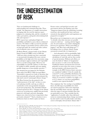### **THE UNDERESTIMATION OF RISK**

There are fundamental challenges in understanding and communicating risks. These include "the importance of complex interactions in shaping risks, the need for rigorous expert judgment in evaluating risks, and the centrality of values, perceptions, and goals in determining both risks and responses".15

IPCC reports have underplayed high-end possibilities and failed to assess risks in a balanced manner. The failure to fully account for potential future changes to permafrost (frozen carbon stores on land and under the seabed) and other carboncycle feedbacks is just one example.

Dr Barrie Pittock, a former leader of the Climate Impact Group in CSIRO, wrote in 2006 that "until now many scientists may have consciously or unconsciously downplayed the more extreme possibilities at the high end of the uncertainty range, in an attempt to appear moderate and 'responsible' (that is, to avoid scaring people). However, true responsibility is to provide evidence of what must be avoided: to define, quantify, and warn against possible dangerous or unacceptable outcomes."16

The situation has not improved. Sir Nicholas Stern said of the IPCC's *Fifth Assessment Report:* "Essentially it reported on a body of literature that had systematically and grossly underestimated the risks [and costs] of unmanaged climate change."17

Prof. Ross Garnaut has also pointed to the "understatement of the risks", in that we seem to be playing scientific catch-up, as reality is consistently on the most pessimistic boundary of previous projections. The Australian Climate Council reported in 2015: "Changes in the climate system are occurring more rapidly than previously projected, with larger and more damaging impacts now observed at lower temperatures than previously estimated."18 Such a situation is not a satisfactory basis on which to plan our future.

Former senior coal fossil fuel executive and government advisor, Ian Dunlop, notes that "dangerous impacts from the underlying (warming) trend have also manifested far faster and more extensively than global leaders and negotiators are prepared to recognise".<sup>19</sup>

Researchers say it is important to carry out analyses "to identify what risky outcomes are possible cannot be ruled out — starting with the biggest ones. In such analyses, it is useful to distinguish between two questions: 'What is most likely to happen?' and 'How bad could things get?'"<sup>20</sup> In looking at how to reframe climate change assessments around risk, it is important to:

... deal adequately with low-probability, highconsequence outcomes, which can dominate calculations of total risk, and are thus worthy of special attention. Without such efforts, we court the kinds of 'failures of imagination' that can prove so costly across risk domains. Traditional climate assessments have focused primarily on areas where the science is mature and uncertainties well characterized. For example, in the IPCC lexicon, future outcomes are considered 'unlikely' if they lie outside the central 67% of the probability distribution. For many types of risk assessment, however, a 33% chance of occurrence would be very high; a  $1\%$ or 0.1% chance (or even lower probabilities) would be more typical thresholds."21

They emphasise that "the envelope of possibilities", that is, the full range of possibilities for which one must be prepared, is often more important than the most likely future outcome, especially when the range of outcomes includes those that are particularly severe. They conclude that the "application of scientific rather than risk-based norms in communicating climate change uncertainty has also made it easier for policymakers and other actors to downplay relevant future climate risks".22

<sup>15</sup> Mach, K, Mastrandrea, MD, Bilir, TE & Field, CB 2015, 'Understanding and responding to danger from climate change: the role of key risks in the IPCC AR5', *Climatic Change*, vol. 136, pp. 427-444.

<sup>16</sup> Pittock, AB 2006, 'Are scientists underestimating climate change?', *EOS*, vol. 87, no. 34, pp. 340-41.

<sup>17</sup> Stern, N 2016, 'Economics: Current climate models are grossly misleading', *Nature*, vol. 530, pp. 407-409.

<sup>18</sup> Steffen, W, Hughes, L & Pearce, A 2015, *Climate Change: Growing risks, critical choices*, Climate Council, Sydney.

<sup>19</sup> Dunlop, I 2016, Foreword to Spratt, D 2016, *Climate Reality Check*, Breakthrough, Melbourne.

<sup>20</sup> Weaver, C, Moss, R, Ebi, K, Gleick, P, Stern, P, Tebaldi, C, Wilson, R & Arvai, J 2017, 'Reframing climate change assessments around risk: recommendations for the US National Climate Assessment', *Environmental Research Letters*, vol. 12, no. 8, 080201.

<sup>21</sup> ibid.

<sup>22</sup> ibid.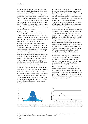A prudent risk-management approach means a tough and objective look at the real risks to which we are exposed, especially those high-end events whose consequences may be damaging beyond quantification, and which human civilization as we know it would be lucky to survive. It is important to understand the potential of, and plan for, the worst that can happen, and be pleasantly surprised if it doesn't. Focusing on middle-of-the-road outcomes, and ignoring the high-end possibilities, may result in an unexpected catastrophic event that we could, and should, have seen coming.

Prof. Robert Socolow of Princeton University says the IPCC "should communicate fully what the science community does and does not understand about high consequence outcomes.The policymaking community needs information about both probable and improbable outcomes."23

Integral to this approach is the issue of lowerprobability, high-impact consequences known as fat-tail risks, in which the likelihood of very large impacts is actually greater than we would expect under typical statistical assumptions. A normal distribution, with the appearance of a bell curve, is symmetric in probabilities of low outcomes (left of curve) and high outcomes (right of curve) as per Figure 1(a). But, as Prof. Michael E. Mann explains, "global warming instead displays what we call a 'heavy-tailed' or 'fat-tailed' distribution, there is more area under the far right extreme of the curve than we would expect for a normal distribution, a greater likelihood of warming that is well in excess of the average amount of warming predicted by climate models,"24 as per Figure 1(b).

In *Climate Shock: The Economic Consequences of a Hotter Planet*, economists Gernot Wagner and Martin Weitzman explore the implications of this fat-tail distribution for climate policy, and "why we face an existential threat in human-caused climate change".25 Mann explains:

" Let us consider… the prospects for warming well in excess of what we might term "dangerous" (typically considered to be at least 2°C warming of the planet). How likely, for example, are we to experience a catastrophic 6°C warming of the globe, if we allow greenhouse gas concentrations to reach double their pre-industrial levels (something we're on course to do by the middle of this century given business-as-usual burning of fossil fuels)? Well, the mean or average warming that is predicted by models in that scenario is about 3°C, and the standard deviation about 1.5°C. So the positive tail, defined as the  $+2$  sigma limit, is about 6 $\rm ^{\circ}C$  of warming. As shown by Wagner & Weitzman [Figure 1(b)], the likelihood of exceeding that amount of warming isn't 2% as we would expect for a bell-curve distribution. It's closer to  $10\%$ ! In fact, it's actually even worse than that when we consider the associated risk. Risk is defined as the product of the likelihood and consequence of an outcome. We just saw that the likelihood of warming is described by a heavy-tailed distribution, with a higher likelihood of fargreater-than-average amounts of warming than we would expect given typical statistical assumptions. This is further compounded by the fact that the damages caused by climate

 $change$  — i.e. the consequence — also increases dramatically with warming. That further increases the associated risk.

With additional warming comes the increased likelihood that we exceed certain tipping points, like the melting of large parts of the Greenland and Antarctic ice sheet and the associated massive rise in sea level that would produce… Uncertainty is not our friend when it comes to the prospects for dangerous climate change."26



Figure 1: Normal and "fat tail" probability distributions. (a) Normal probability distribution, and (b) an estimate of the likelihood of warming due to a doubling of greenhouse gas concentrations exhibiting a "fat tail" distribution (Credit: Wagner & Weitzman 2015, *Climate Shock: The Economic Consequences of a Hotter Planet)*.

<sup>23</sup> Socolow, R. 2011, 'High-consequence outcomes and internal disagreements: tell us more, please', *Climatic Change*, vol. 108, pp. 775-790.

<sup>24</sup> Mann, M 2016, 'The 'fat tail' of climate change risk', *Huffington Post*, 11 September 2016.

<sup>25</sup> Ibid.

<sup>26</sup> Ibid.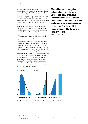As Mann notes, risk is defined as the product of the likelihood and consequence of an outcome. This is illustrated in Figure 2, which although applied to the question of climate sensitivity (see discussion on pp. 22-23), has general applicability. The likelihood of a high-end outcome may be relatively low (right side of curve in (a)), but impacts increase at the highend (b), showing the high risk of very unlikely events (c).

IPCC reports have not given attention to fattail risk analysis, in part because the reports are compiled using a consensus method, as discussed above. Prof. Stefan Rahmstorf of Potsdam University says that:

" The magnitude of the fat-tail risks of global warming is not widely appreciated and must be discussed more. For over two decades I have argued that the risk of a collapse of the Atlantic meridional overturning circulation (AMOC) in this century is perhaps five per cent or so, but that this is far too great a risk to take, given what is at stake. Nobody would board an aircraft with a five per cent risk of crashing."<sup>27</sup>

He adds that: "Defeatism and doomerism is not the same as an accurate, sincere and sober discussion of worst-case risks. We don't need the former, we do need the latter." It should be noted that Rahmstorf was one of the authors of research released in April 2018 showing that, in fact, there has already been a 15% slowdown in the AMOC since the mid-twentieth century.<sup>28</sup>

**"When all the new knowledge that challenges the old is on the more worrying side, one worries about whether the asymmetry reflects some systematic bias… I have come to wonder whether the reason why most of the new knowledge confirms the established science or changes it for the worse is scholarly reticence."**

*Prof. Ross Garnaut, 2011*



**Figure 2:** Schema of climate-related risk. (a) Event likelihood and (b) Impacts produce (c) Risk. Lower likelihood events at the high end of the probability distribution have the highest risk (Credit: RT Sutton/E Hawkins).

<sup>27</sup> Rahmstorf, S, pers. comm., 8 August 2017.

<sup>28</sup> Caesar, L, Rahmstorf, S, Robinson, A, Feulner, G. & Saba, V 2018, "Observed fingerprint of a weakening Atlantic Ocean overturning circulation', Nature, vol. 556, pp. 191-192.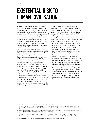### **EXISTENTIAL RISK TO HUMAN CIVILISATION**

In 2016, the World Economic Forum survey of the most impactful risks for the years ahead elevated the failure of climate change mitigation and adaptation to the top of the list, ahead of weapons of mass destruction, ranking second, and water crises, ranking third. By 2018, following a year characterised by high-impact hurricanes and extreme temperatures, extreme-weather events were seen as the single most prominent risk. As the survey noted: "We have been pushing our planet to the brink and the damage is becoming increasingly clear."29

Climate change is an existential risk to human civilisation: that is, an adverse outcome that would either annihilate intelligent life or permanently and drastically curtail its potential.

Temperature rises that are now in prospect, after the *Paris Agreement*, are in the range of 3–5°C. At present, the *Paris Agreement* voluntary emission reduction commitments, if implemented, would result in planetary warming of  $3.4^{\circ}$ C by  $2100^{30}$ without taking into account "long-term" carboncycle feedbacks. With a higher climate sensitivity figure of 4.5°C, for example, which would account for such feedbacks, the Paris path would result in around 5°C of warming, according to a MIT study.31 A study by Schroder Investment Management published in June 2017 found — after taking into account indicators across a wide range of the political, financial, energy and regulatory sectors — the average temperature increase implied for the *Paris Agreement* across all sectors was 4.1°C.32

Yet 3°C of warming already constitutes an existential risk. A 2007 study by two US national security think-tanks concluded that 3°C of warming and a 0.5 metre sea-level rise would likely lead to "outright chaos" and "nuclear war is possible", emphasising how "massive non-linear events in the global environment give rise to massive nonlinear societal events".33 The Global Challenges Foundation (GCF) explains what could happen:

If climate change was to reach  $3^{\circ}C$ , most of Bangladesh and Florida would drown, while major coastal cities — Shanghai, Lagos, Mumbai — would be swamped, likely creating large flows of climate refugees. Most regions in the world would see a significant drop in food production and increasing numbers of extreme weather events, whether heat waves, floods or storms. This likely scenario for a 3°C rise does not take into account the considerable risk that self-reinforcing feedback loops set in when a certain threshold is reached, leading to an ever increasing rise in temperature. Potential thresholds include the melting of the Arctic permafrost releasing methane into the atmosphere, forest dieback releasing the carbon currently stored in the Amazon and boreal forests, or the melting of polar ice caps that would no longer reflect away light and heat from the sun."34

<sup>29</sup> World Economic Forum, 2018, *The Global Risks Report 2018: 13th Edition*, World Economic Forum, Geneva.

<sup>30</sup> Climate Action Tracker 2017, 'Improvement in warming outlook as India and China move ahead, but Paris Agreement gap still looms large", 13 November 2017, <http://climateactiontracker.org/publications/briefing/288/Improvement-in-warming-outlook-as-India-and-China-move-ahead-but-Paris-Agreement-gap-still-looms-large.htm>.

<sup>31</sup> Reilly, J, Paltsev, S, Monier, E, Chen, H, Sokolov, A, Huang, J, Ejaz, Q, Scott, J, Morris, J & Schlosser, A 2015, *Energy and Climate Outlook: Perspectives from 2015*, MIT Program on the Science and Policy of Global Change, Cambridge MA.

<sup>32</sup> Schroder Investment Management 2017, *Climate change: calibrating the thermometer*, Schroders Investment Management, London.

<sup>33</sup> Campbell, K, Gulledge, J, McNeill, JR, Podesta, J, Ogden, P, Fuerth, L, Woolsley, J, Lennon, A, Smith, J, Weitz, R & Mix, D 2007, *The Age of Consequences: The foreign policy and national security implications of global climate change*, Centre for Strategic and International Studies & Centre for New American Security, Washington.

<sup>34</sup> Global Challenges Foundation 2017, *Global Catastrophic Risks 2017*, Global Challenges Foundation, Stockholm.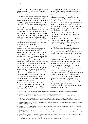Warming of 4°C or more could reduce the global human population by  $80\%$  or  $90\%$ ,<sup>35</sup> and the World Bank reports "there is no certainty that adaptation to a  $4^{\circ}$ C world is possible".<sup>36</sup> Prof. Kevin Anderson says a 4°C future "is incompatible with an organized global community, is likely to be beyond 'adaptation', is devastating to the majority of ecosystems, and has a high probability of not being stable".37 This is a commonly-held sentiment amongst climate scientists. A recent study by the European Commission's Joint Research Centre found that if the global temperature rose 4°C, then extreme heatwaves with "apparent temperatures" peaking at over 55°C will begin to regularly affect many densely populated parts of the world, forcing much activity in the modern industrial world to stop.38 ("Apparent temperatures" refers to the Heat Index, which quantifies the combined effect of heat and humidity to provide people with a means of avoiding dangerous conditions.)

In 2017, one of the first research papers to focus explicitly on existential climate risks proposed that "mitigation goals be set in terms of climate risk category instead of a temperature threshold", and established a "dangerous" risk category of warming greater than 1.5°C, and a "catastrophic" category for warming of 3°C or more. The authors focussed on the impacts on the world's poorest three billion people, on health and heat stress, and the impacts of climate extremes on such people with limited adaptation resources. They found that a 2°C warming "would double the land area subject to deadly heat and expose 48% of the population (to deadly heat). A 4°C warming by 2100 would subject 47% of the land area and almost 74% of the world population to deadly heat, which could pose existential risks to humans and mammals alike unless massive adaptation measures are implemented."39

A 2017 survey of global catastrophic risks by the Global Challenges Foundation found that: "In high-end [climate] scenarios, the scale of destruction is beyond our capacity to model, with a high likelihood of human civilization coming to an end."40 84% of 8000 people in eight countries surveyed for the Foundation considered climate change a "global catastrophic risk".41

Existential risk may arise from a fast rate of system change, since the capacity to adapt, in both the natural and human worlds, is inversely proportional to the pace of change, amongst other factors. In 2004, researchers reported on the rate of warming as a driver of extinction.42 Given we are now on a 3–5°C warming path this century, their findings are instructive:

- If the rate of change is 0.3°C per decade (3°C) per century), 15% of ecosystems will not be able to adapt.
- If the rate should exceed 0.4°C per decade, all ecosystems will be quickly destroyed, opportunistic species will dominate, and the breakdown of biological material will lead to even greater emissions of  $CO<sub>2</sub>$ .

At 4°C of warming "the limits for adaptation for natural systems would largely be exceeded throughout the world".43 Ecological breakdown of this scale would ensure an existential human crisis.

By slow degrees, these existential risks are being recognised. In May 2018, an inquiry by the Australian Senate into national security and global warming recognised "climate change as a current and existential national security risk… defined as 'one that threatens the premature extinction of Earth-originating intelligent life or the permanent and drastic destruction of its potential for desirable future development'".44 In April 2018, the Intelligence on European Pensions and Institutional Investment think-tank warned business leaders that "climate change is an existential risk whose elimination must become a corporate objective".45 However the most recent IPCC *Assessment Report* did not consider the issue. Whilst the term "risk management" appears in the 2014 IPCC *Synthesis Report* fourteen times, the terms "existential" and "catastrophic" do not appear.

<sup>35</sup> Anderson, K 2011, 'Going beyond dangerous climate change: Exploring the void between rhetoric and reality in reducing carbon emissions', LSE presentation, 11 July 2011.

<sup>36</sup> World Bank 2012, *Turn Down the Heat: Why a 4°C warmer world must be avoided*, World Bank, New York.

<sup>37</sup> Roberts, D 2011 "The brutal logic of climate change", Grist, 6 December 2011, <https://grist.org/climate-change/2011-12-05-the-brutal-logic-ofclimate-change/>.

<sup>38</sup> Ayre, J 2017, 'Extreme heatwaves with 'apparent temperatures' as high as 55° celsius to regularly affect much of world', Clean Technica, 11 August 2017, <https://cleantechnica.com/2017/08/11/extreme-heatwaves-apparent-temperatures-high-55-celsius-regularly-affect-much-world-4-celsiuswarming-pre-industrial-levels/>.

<sup>39</sup> Xu, Y & Ramanathan, V 2017, 'Well below 2 °C: Mitigation strategies for avoiding dangerous to catastrophic climate changes', *Proceedings of the National Academy of Sciences*, vol. 114, pp. 10315-10323.

<sup>40</sup> Global Challenges Foundation 2017, op cit.

<sup>41</sup> Goering, L 2017, '8 in 10 people now see climate change as a 'catastrophic risk' – survey', Thomson Reuters Foundation, 23 May 2017, <http://news. trust.org/item/20170523230148-a90de>.

<sup>42</sup> Leemans, R, & Eickhout, B 2004, 'Another reason for concern: regional and global impacts on ecosystems for different levels of climate change', *Global Environmental Change*, vol. 14, pp. 219–228.

<sup>43</sup> Warren, R 2011, 'The role of interactions in a world implementing adaptation and mitigation solutions to climate change', *Philosophical Transactions of the Royal Society A*, vol. 369, pp. 217-241.

<sup>44</sup> Commonwealth of Australia 2018, *Inquiry into the Implications of climate change for Australia's national security*, Foreign Affairs, Defence and Trade Committee, Department of the Senate, Parliament House, Canberra.

<sup>45</sup> Murray, D & Murtha, A 2018, 'Climate risk: Running out of time', Intelligence on European Pensions and Institutional Investment, April 2018, <https://www.ipe.com/reports/special-reports/thought-leadership/climate-risk-running-out-of-time/10023906.article>.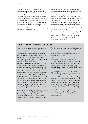Existential risks require a particular approach to risk management. They are not amenable to the reactive (learn from failure) approach of conventional risk management, and we cannot necessarily rely on the institutions, moral norms, or social attitudes developed from our experience with managing other sorts of risks. Because the consequences are so severe — perhaps the end of global human civilisation as we know it — "even for an honest, truth-seeking, and well-intentioned investigator it is difficult to think and act rationally in regard to… existential risks".46

Existential risk management requires brutally honest articulation of the risks, opportunities and the response time frame, the development of new existential risk-management techniques outside conventional politics, and global leadership and integrated policy. Since it is not possible to recover from existential risks, "we cannot allow even one existential disaster to happen; there would be no opportunity to learn from experience",47 but at the moment we are facing existential disasters on several climate fronts, seemingly without being able even to articulate that fact.

The failure of both the research community and the policymaking apparatus to consider, advocate and/or adopt an existential risk-management approach is itself a failure of imagination with catastrophic consequences.

### **PUBLIC SECTOR DUTY OF CARE ON CLIMATE RISK**

Private-sector company directors internationally are facing legal action and personal liability for having refused to understand, assess and act upon climate risk, or for misrepresenting that risk. Compensation is being sought from carbon polluters for damage incurred from climate impacts. Legal opinions suggest similar action in Australia would be firmly based.

Such a duty of care extends to the public sector, including not only ministers and senior public servants, but regulators and board members of statutory authorities. As a general principle, officials in the public sector should not be held to a lower standard of account than employees of publicly listed companies. That duty has already been successfully tested in the courts in The Netherlands.

The first duty of a government is to protect the people. A government derives its legitimacy and hence its authority from the people, and so has a fiduciary duty to act in accordance with the interests of all the people with integrity, fairness and accountability.

In the climate arena, this duty has been recognised in several quarters, including by Australian Prudential Regulatory Authority Executive Director Geoff Summerhayes and Australian Securities and Investments Commissioner John Price.

This duty has a particular sharpness in the new era of disruption and existential risk that will manifest as a consequence of the global failure, and the failure of successive Australian governments, to rein in global warming.

In these circumstances, our public sector leaders have a number of specific duty-ofcare responsibilities which at present are being ignored. Being a climate denier does not absolve ministers and parliamentarians of the fiduciary responsibility to set aside personal prejudice and act in the public interest.

The Australian Public Service Impartiality Value requires advice given to government to be "apolitical, frank, honest, timely and based on the best available evidence", but the overriding impression is that the federal bureaucracy, with some notable exceptions, is not treating climate change with anywhere near the seriousness and urgency it demands. Dismal reports such as the December 2017 *Review of Climate Change Policy.* are a scientifically reticent whitewash of wholly inadequate and inconsistent policies.

It is entirely appropriate, when the political system fails, for affected parties to take legal action to correct such failure.

<sup>46</sup> Bostrom, N & Cirkovic, MM 2008, *Global Catastrophic Risks*, Oxford University Press, Oxford.

<sup>47</sup> Op. cit.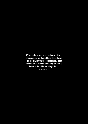**The second state of a point where we have a crisis, an emergency, but people don't know that ...There's a big gap between what's understood about global warming by the scientific community and what is known by the public "We've reached a point where we have a crisis, an emergency, but people don't know that. ...There's a big gap between what's understood about global warming by the scientific community and what is known by the public and policymakers".**

*Prof. James Hansen, 2008*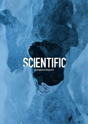

What Lies Beneath 17 (200) and the second control of the second control of the second control of the second control of the second control of the second control of the second control of the second control of the second cont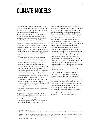## **CLIMATE MODELS**

Climate modelling is at the core of the work by the IPCC, and in developing future emission and warming scenarios, but it is often too conservative and underestimates future impacts.

A 2007 report on climate change and national security by the US Center for Strategic and International Studies and the Center for a New American Security recognised that: "Recent observations indicate that projections from climate models have been too conservative; the effects of climate change are unfolding faster and more dramatically than expected" and that "multiple lines of evidence" support the proposition that the 2007 IPCC reports' "projections of both warming and attendant impacts are systematically biased low". For instance:

" The models used to project future warming either omit or do not account for uncertainty in potentially important positive feedbacks that could amplify warming (e.g., release of greenhouse gases from thawing permafrost, reduced ocean and terrestrial  $\mathrm{CO}_2^{}$  removal from the atmosphere), and there is some evidence that such feedbacks may already be occurring in response to the present warming trend. Hence, climate models may underestimate the degree of warming from a given amount of greenhouse gases emitted to the atmosphere by human activities alone. Additionally, recent observations of climate system responses to warming (e.g., changes in global ice cover, sea-level rise, tropical storm activity) suggest that IPCC models underestimate the responsiveness of some aspects of the climate system to a given amount of warming."48

In 2015, researchers reported on the long-term feedbacks that global climate models ignore, as illustrated in Figure 3, where grey bars within the middle blue ellipse signify processes that are assumed to be (partly) inactive or non-existent in global climate models, but in reality are not.49

In the 2017 *Fourth National Climate Assessment,* US government agencies found that "positive feedbacks (self-reinforcing cycles) within the climate system have the potential to accelerate human-induced climate change and even shift the Earth's climate system, in part or in whole, into new states that are very different from those experienced in the recent past", and whilst some feedbacks and potential state shifts can be modelled and quantified, "others can be modeled or identified but not quantified and some are probably still unknown". Hence:

" While climate models incorporate important climate processes that can be well quantified, they do not include all of the processes that can contribute to feedbacks, compound extreme events, and abrupt and/or irreversible changes. For this reason, future changes outside the range projected by climate models cannot be ruled out. Moreover, the systematic tendency of climate models to underestimate temperature change during warm paleoclimates suggests that climate models are more likely to underestimate than to overestimate the amount of long-term future change."50

At the 2017 climate policy conference in Bonn, Phil Duffy, the Director of the Woods Hole Institute, explained that "the best example of reticence is permafrost… It's absolutely essential that this feedback loop not get going seriously, if it does there is simply no way to control it." He says the scientific failure occurs because "none of this is in climate models and none of this is considered in the climate policy discussion… climate models simply omit emissions from the warming permafrost, but we know that is the wrong answer because that tacitly assumes that these emissions are zero and we know that's not right".51

<sup>48</sup> Campbell et al. 2007, op cit.

<sup>49</sup> Knutti, R, & Rugenstein MAA 2015, 'Feedbacks, climate sensitivity and the limits of linear models', *Philosophical Transactions of the Royal Society A*, vol. 373, 20150146.

<sup>50</sup> USGCRP 2017, *Climate Science Special Report: Fourth National Climate Assessment*, Volume I, [Wuebbles, DJ, DW Fahey, KA Hibbard, DJ Dokken, BC Stewart & TK Maycock (eds.)], US Global Change Research Program, Washington, DC, USA..

<sup>51</sup> UPFSI 2017, 'James Hansen: Scientific Reticence A Threat to Humanity and Nature', media conference, Bonn, 19 November 2017, <https://www. youtube.com/watch?v=S7z61UZoppM>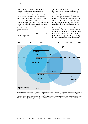There is a consistent pattern in the IPCC of presenting detailed, quantified (numerical) modelling results, but then briefly noting more severe possibilities — such as feedbacks that the models do not account for — in a descriptive, non-quantified form. Sea levels, polar ice sheets and some carbon-cycle feedbacks are three examples. Because policymakers and the media are often drawn to headline numbers, this approach results in less attention being given to the most devastating, high-end, non-linear and difficult-toquantify outcomes.

Consensus around numerical results can result in an understatement of the risks. Oppenheimer et al. point to the problem:

" The emphasis on consensus in IPCC reports has put the spotlight on expected outcomes, which then become anchored via numerical estimates in the minds of policymakers… it is now equally important that policymakers understand the more extreme possibilities that consensus may exclude or downplay… given the anchoring that inevitably occurs around numerical values, the basis for quantitative uncertainty estimates provided must be broadened to give observational, paleoclimatic, or theoretical evidence of poorly understood phenomena comparable weight with evidence from numerical modeling… One possible improvement would be for the IPCC to fully include judgments from expert elicitations."52



Figure 3: Timescales of climate processes and inclusions of feedbacks in climate models. The coloured ellipses each cover different methods used to estimate climate sensitivity: observations (left), global climate models (GCMs) (centre) and paleoclimate proxies (right). Light grey bars indicate processes that act on timescales that a GCM can resolve, but are usually assumed to be (partly) inactive or non-existent. Dashed lines indicate timescales where specific feedbacks are weaker or only operate under certain circumstances. The arrow for clouds, lapse rate, water vapour and albedo indicates that those feedbacks operate on short timescales but, because the surface warming takes centuries or more to equilibrate, these feedbacks continue to change and affect the overall response of the systems up to millennia (Credit: Knutti & Rugenstein 2015).

<sup>52</sup> Oppenheimer, M, O'Neill, B, Webster, M & Agrawala, S 2007, 'The Limits of Consensus', *Science*, vol. 317, pp. 1505-1506.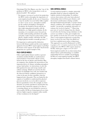Glaciologist Prof. Eric Rignot, says that "one of the problems of IPCC is the strong desire to rely on physical models". He explains:

For instance, in terms of sea-level rise projection, the IPCC tends to downplay the importance of semi-empirical models. In the case of Antarctica, it may be another ten years before fully-coupled ice sheet–ocean–sea ice–atmosphere models get the southern hemisphere atmospheric circulation, the Southern Ocean and the ice sheet right using physical models, with the full physics, at a high spatial resolution. In the meantime, it is essential to move forward our scientific understanding and inform the public and policy makers based on observations, basic physics, simpler models, well before the fullfledged physical models eventually get there."<sup>53</sup>

It is important to understand the distinction between full climate models and the semi-empirical approach, because IPCC reports appear to privilege the former at the expense of the latter. Sea-level-rise projections are a good example of this.

#### **FULLY-COUPLED MODELS**

Fully-coupled global climate models or general circulation models (GCMs) are mathematical representations of the Earth's climate system, based on the laws of physics and chemistry. Run on computers, they simulate the interactions of the important drivers of climate, including atmosphere– oceans–land surface–ice interactions, to solve the full equations for mass and energy transfer and radiant exchange. Models are tested in the first instance by hindsight: how well, once loaded with the observed climate conditions (parameters) at a time in the past, do they reproduce what has happened since that point. They are limited by the capacity of modellers to understand the physical processes involved, so as to be able to represent them in quantitative terms. For example, ice sheet dynamics are poorly reproduced, and therefore key processes that control the response of ice flow to a warming climate are not included in current ice sheet models. GCMs are being improved over time, and new higher-capacity computers allow models of finer resolution to be developed.<sup>54</sup>

#### **SEMI-EMPIRICAL MODELS**

A semi-empirical model is a simpler, physically plausible model of reduced complexity that exploits statistical relationships. It combines current observations with some basic physical relationships observed from past climates, and theoretical considerations relating variables through fundamental principles, to project future climate conditions. For example, semi-empirical models "can provide a pragmatic alternative to estimate the sea-level response".55 Observing past rates of sea-level change from the climate record when the forcing (energy imbalance in the system) was similar to today, gives insights into how quickly sea levels may rise in the next period. Thus a semi-empirical approach to projecting future sea-level rise may relate the global sealevel rise to global mean surface temperature. This approach was used by Rahmstorf in 2007, to project a 0.5–1.4 metres sea-level rise by 2100, compared to the IPCC's 2007 report, based on GCMs, which gave a figure of 0.18–0.59.<sup>56</sup> Semi-empirical models rely on observations from

climate history (paleoclimatology) to establish relationships between variables. In privileging GCMs over semi-empirical models, the IPCC downplays insights from Earth's climate history.

- 55 Ibid.
- 56 Ibid.

<sup>53</sup> Rignot, E, pers. comm., 8 August 2017.

<sup>54</sup> Rahmstorf, S 2007, 'A semi -empirical approach to projecting future sea-level rise, *Science* vol. 315, pp. 368-370.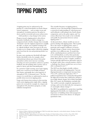### **TIPPING POINTS**

A tipping point may be understood as the passing of a critical threshold in an Earth climate system component — such as major ocean and atmospheric circulation patterns, the polar ice sheets, and the terrestrial and ocean carbon stores which produces a step change in the system.

Progress toward a tipping point is often driven by positive feedbacks, in which a change in a component leads to further changes that eventually "feed back" onto the original component to amplify the effect. A classic case in global warming is the ice–albedo feedback, where decreases in the area of polar sea ice change surface reflectivity, trapping more heat from the sun and producing further seaice loss.

In some cases, passing one threshold will trigger further threshold events, for example, where substantial greenhouse gas releases from polar permafrost carbon stores increase warming, releasing even more permafrost carbon in a positive feedback, but also pushing other systems, such as polar ice sheets, past their threshold point.

In a period of rapid warming, most major tipping points once crossed are irreversible in human time frames, principally due to the longevity of atmospheric  $\mathrm{CO}_2^{\phantom{\dag}}$  (a thousand years).<sup>57</sup> For this reason, it is crucial that we understand as much as possible about near-term tipping points.

Large-scale human interventions in slow-moving earth system tipping points might allow a tipping point to be reversed; for example, by a large-scale atmospheric  $\mathrm{CO}_2$  drawdown program, or solar radiation management.

The scientific literature on tipping points is relatively recent. Our knowledge is limited because a system-level understanding of critical processes and feedbacks is still lacking in key Earth climate components, such as the polar regions, and "no serious efforts have been made so far to identify and qualify the interactions between various tipping points".<sup>58</sup>

As discussed above, climate models are not yet good at dealing with tipping points. This is partly due to the nature of tipping points, where a particular and complex confluence of factors abruptly change a climate system characteristic and drive it to a different state. To model this, all the contributing factors and their forces have to be well identified, as well as their particular interactions, plus the interactions between tipping points. Researchers say that "complex, nonlinear systems typically shift between alternative states in an abrupt, rather than a smooth manner, which is a challenge that climate models have not yet been able to adequately meet".59

The GCF says that despite scientific evidence that risks associated with tipping points "increase disproportionately as temperature increases from  $1^{\circ}$ C to  $2^{\circ}$ C, and become high above  $3^{\circ}$ C",  $^{60}$ political negotiations have consistently disregarded the high-end scenarios that could lead to abrupt or irreversible climate change. In its *Global Catastrophic Risks 2017* report, the Foundation concludes that "the world is currently completely unprepared to envisage, and even less deal with, the consequences of catastrophic climate change".61

The IPCC has published few projections regarding tipping-point thresholds, nor emphasised the importance of building robust risk-management assessments of them in the absence of adequate quantitative data.

<sup>57</sup> Solomon, S, Plattner, GK, Knutti, R & Friedlingstein, P 2008, 'Irreversible climate change due to carbon dioxide emissions', *Proceedings of the National Academy of Sciences*, vol. 106, no. 6, pp. 1704–1709.

<sup>58</sup> Schellnhuber, HJ 2009, 'Tipping elements in the Earth system', *Proceedings of the National Academy of Sciences*, vol. 106, no. 49, pp. 20561–20563.

<sup>59</sup> Duarte, C, Lenton, T, Wadhams, P & Wassmann, P 2012, 'Abrupt climate change in the Arctic', *Nature Climate Change*, vol. 2, pp. 60–62.

<sup>60</sup> GFC 2017, op. cit.

<sup>61</sup> ibid.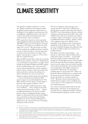## **CLIMATE SENSITIVITY**

The question of climate sensitivity is a vexed one. Climate sensitivity is the amount by which the global average temperature will rise due to a doubling of the atmospheric greenhouse gas level, at equilibrium. (Equilibrium refers to the state of a system when all the perturbations have been resolved and the system is in balance.)

IPCC reports have focused on what is generally called Equilibrium Climate Sensitivity (ECS). The 2007 IPCC report gives a best estimate of climate sensitivity of 3°C and says it "is likely to be in the range 2°C to 4.5°C". The 2014 report says that "no best estimate for equilibrium climate sensitivity can now be given because of a lack of agreement on values across assessed lines of evidence and studies" and only gives a range of 1.5°C to 4.5°C. This was a backward step.<sup>62</sup>

What the IPCC reports fail to make clear is that the ECS measure omits key "long-term" feedbacks that a rise in the planet's temperature can trigger. These include the permafrost feedback and other changes in the terrestrial carbon cycle, a decrease in the ocean's carbon-sink efficiency, and the melting of polar ice sheets creating a cold ocean-surface layer underneath that accelerates the melting of ice shelves and hastens the rate of ice-mass loss.

Climate sensitivity which includes these feedbacks — known as Earth System Sensitivity (ESS) does not appear to be acknowledged in the 2014 IPCC reports at all. Yet, there is a wide range of literature which suggest an ESS of  $4-6^{\circ}$ C.<sup>63</sup>

It is conventionally considered that these "longterm" feedbacks –– such as changes in the polar carbon stores and the polar ice sheets –– operate on millennial timescales. Yet the rate at which human activity is changing the Earth's energy balance is without precedent in the last 66 million years, and about ten times faster than during the Paleocene–Eocene Thermal Maximum 55 million years ago, a period with one of the largest extinction events on record.

The rate of change in energy forcing is now so great that these "long-term" feedbacks have already begun to operate within short time frames. The IPCC is not forthcoming on this issue. Instead it sidesteps with statements (from 2007) such as this: "Models used to date do not include uncertainties in climate–carbon cycle feedback... because a basis in published literature is lacking... Climate–carbon cycle coupling is expected to add  $\mathrm{CO}_2$  to the atmosphere as the climate system warms, but the magnitude of this feedback is uncertain." This is the type of indefinite language that politicians and the media are likely to gloss over, in favour of a headline number.

It should be noted that carbon budgets — the amount of carbon that could be emitted before a temperature target is exceeded — are generally based on a climate sensitivity mid-range value around 3°C. Yet this figure may be too low. Fasullo and Trenberth found that the climate models that most accurately capture observed relative humidity in the tropics and subtropics and associated clouds were among those with a higher sensitivity of around 4°C.64 Sherwood et al. also found a sensitivity figure of greater than 3°C.65 Zhai et al. found that climate models that are consistent with the observed seasonal variation of low-altitude marine clouds have an average sensitivity of 3.9°C. 66 Recently it has been demonstrated the models that best capture current conditions have a mean value of 3.7°C compared to 3.1°C by the raw model projections.67

The work on existential climate risks by Xu and Ramanathan, cited above, is also important in assessing what is an appropriate climate sensitivity for risk-management purposes, for three reasons.

<sup>62</sup> References to the IPCC are drawn from the relevant Working Group, Synthesis and the Summary for Policymakers reports.

<sup>63</sup> The Geological Society 2013, *An addendum to the Statement on Climate Change: Evidence from the geological record*, The Geological Society, London, December 2013; Hansen, J, Sato, M, Russell, G & Kharecha, P 2013, 'Climate sensitivity, sea level and atmospheric carbon dioxide', P*hilosophical Transactions of the Royal Society A*, vol. 371, no. 2001, 20120294.

<sup>64</sup> Fasullo, J & Trenberth, K 2012, 'A less cloudy future: the role of subtropical subsidence in climate sensitivity', *Science*, vol. 338, no. 6108, pp. 792-794.

<sup>65</sup> Sherwood, S, Bony, S & Dufresne, JL 2014, 'Spread in model climate sensitivity traced to atmospheric convective mixing', *Nature*, vol. 505, pp. 37-42.

<sup>66</sup> Zhai, C, Jiang, J & Su, H 2015, 'Long-term cloud change imprinted in seasonal cloud variation: More evidence of high climate sensitivity', *Geophysical Research Letters*, vol. 42, no. 20, pp. 8729-8737.

<sup>67</sup> Brown, P & Caldeira, K 2017, 'Greater future global warming inferred from Earth's recent energy budget', *Nature*, vol. 552, pp. 45-50.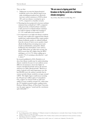#### They say that:

- 1. Taking into account the biogeochemical feedbacks (such as less efficient land/ocean sinks, including permafrost loss) effectively increases carbon emissions to 2100 by about 20% and can enhance warming by up to 0.5°C, compared to a baseline scenario.
- 2. Warming has been projected to increase methane emissions from wetlands by 0–100% compared with present-day wetland methane emissions. A 50% increase in wetland methane emissions by 2100 in response to high-end warming of 4.1–5°C could add at least another 0.5°C.
- 3. It is important to use high-end climate sensitivity because some studies have suggested that climate models have underestimated three major positive climate feedbacks: positive ice albedo feedback from the retreat of Arctic sea ice; positive cloud albedo feedback from retreating storm track clouds in mid-latitudes; and positive albedo feedback by the mixed-phase (water and ice) clouds. When these are taken into account, the ECS is more than 40% higher than the IPCC mid-figure, at 4.5-4.7°C, before adding up to another 1°C of warming as described in 1. and 2. above. $68$

In research published in 2016, Friedrich et al. show that climate models may be underestimating climate sensitivity because it is not uniform across different circumstances, but in fact higher in warmer, interglacial periods (such as the present) and lower in colder, glacial periods.<sup>69</sup> Based on a study of glacial cycles and temperatures over the last 800,000 years, the authors conclude that in warmer periods climate sensitivity averages around 4.88°C. The higher figure would mean warming for 450 parts per million (ppm) of atmospheric  $\mathrm{CO}_2^{\phantom{\dag}}$  (a figure on current trends we will reach within 25 years) would be around 3°C, rather than the 2°C bandied around in policy making circles. Professor Michael Mann, of Penn State University, says the paper appears "sound and the conclusions quite defensible".70

### **"We are now at a tipping point that threatens to flip the world into a full blown climate emergency."**

*Tony de Brum, Mary Robinson and Kelly Rigg, 2013*

<sup>68</sup> Xu, Y & Ramanathan, V 2017, 'Well below 2 °C: Mitigation strategies for avoiding dangerous to catastrophic climate changes', *Proceedings of the National Academy of Sciences*, vol. 114, pp. 10315-10323.

<sup>69</sup> Friedrich, T, Timmermann, A, Timm, OE & Ganopolski, A 2016, 'Nonlinear climate sensitivity and its implications for future greenhouse warming', *Science Advances*, vol. 2, no. 11, e1501923.

<sup>70</sup> Johnston, I 2016, 'Climate change may be escalating so fast it could be "game over", scientists warn', *Independent*, 9 November 2016.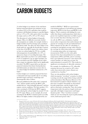## **CARBON BUDGETS**

A carbon budget is an estimate of the total future human-caused greenhouse gas emissions, in tons of carbon,  $\mathrm{CO}_2$  or  $\mathrm{CO}_2$  equivalent, that would be consistent with limiting warming to a specified figure, such as 1.5°C or 2°C, with a given risk of exceeding the target, such as a  $50\%$ ,  $33\%$  or  $10\%$  chance.

The discussion of carbon budgets is frequently opaque. Often, it is difficult to ascertain whether the assumptions are realistic, for example whether a budget includes non- $\mathrm{CO}_2$  forcings such as methane and nitrous oxide. Too often, the risk of failure is not clearly spelt out, especially the fat-tail risks. Contrary to the tone of the IPCC reports, the evidence shows we have no carbon budget for 2°C for a sensible risk-management, low-probability (of a 10%, or one-in-ten) chance of exceeding that target. The IPCC reports fail to say there is no carbon budget if 2°C is considered a cap (an upper boundary not to be exceeded) as per the *Copenhagen Accord*, rather than a target (an aspiration which can be significantly exceeded). The IPCC reports fail to say that once projected emissions from future food production and deforestation are taken into account, there is no carbon budget for fossil-fuel emissions for a 2°C target. $71$ 

Carbon budgets are routinely proposed that have a substantial and unacceptable risk of exceeding specified targets and hence entail large and unmanageable risks of failure.

Research published in December 2017 compared "raw" climate models (used by the IPCC) with models that are "observationally informed" and best capture current conditions. The latter produce 15% more warming by 2100 than the IPCC suggests, thus reducing the carbon budget by around 15% for the 2°C target. Hence, as one example, the actual warming for the RCP4.5 emissions path is in reality likely to be higher, similar to that projected by raw

models for RCP6.0.72 (RCPs are representative concentration pathways of greenhouse gas emission trajectories. RCP2.6 is the lowest and RCP8.5 is the highest.) This is consistent with findings five years earlier that climate model projections which show a greater rise in global temperature are likely to prove more accurate than those showing a lesser rise.73

As well, the IPCC uses a definition of global mean surface temperature that underestimates the amount of warming over the pre-industrial level. When estimates for the effect of calculating (1) warming for total global coverage rather than for the coverage for which observations are available, (2) warming using surface air temperature measurements (SATs) over the entire globe instead of the observational blend of sea surface temperatures (SSTs) and SATs, and (3) warming from a pre-industrial, instead of a late-nineteenth century baseline, are taken into account, the underestimation is around 0.3°C. This results in a significant overestimation of allowable emissions.<sup>74</sup>

For example, for stabilization at 2°C, allowable emissions decrease by as much as 40% when earlier than nineteenth-century climates are considered as a baseline.75

There are also problems with carbon budgets which incorporate "overshoot" scenarios, in which warming exceeds the target before being cooled by carbon drawdown. Pam Pearson, Director of the International Cryosphere Climate Initiative, says that most cryosphere thresholds are determined by peak temperature, and the length of time spent at that peak, warning that "later, decreasing temperatures after the peak are largely irrelevant, especially with higher temperatures and longer duration peaks". Thus "overshoot scenarios", which are now becoming the norm in policymaking circles, hold much greater risks.76

<sup>71</sup> Raupach, M 2013, pers. comm, 20 October 2013, based on Raupach, M, Harman, IN & Canadell, GJ 2011, *Global climate goals for temperature, concentrations, emissions and cumulative emissions*, The Centre For Australian Weather and Climate Research, Melbourne 2011, discussed at http://www. climatecodered.org/2014/05/thereal-budgetary-emergency-burnable.html; Arora, VK, Scinocca, JF, Boer, GJ, Christian, RJ, Denman, KL, Flato, GM, Kharin, VV, Lee, WG & Merryfield, WJ 2015, 'Carbon emission limits required to satisfy future representative concentration pathways of greenhouse gases', *Geophysical Research Letters*, vol. 38, L05805; Meinshausen, M 2008, 'The EU, the IPCC and the science of climate change: The 2°C target', IES Autumn lecture series, 8 October 2008, Brussels; Anderson, K & and Bows, A 2008, 'Reframing the climate change challenge in light of post-2000 emission trends, *Philosophical Transactions of the Royal Society A*, vol. 366, pp. 3863-3882.

<sup>72</sup> Brown, P & Caldeira, K 2017, 'Greater future global warming inferred from Earth's recent energy budget', *Nature*, vol. 552, pp. 45-50.

<sup>73</sup> Fasullo, JT & Trenberth, KE 2012, 'A Less Cloudy Future: The Role of Subtropical Subsidence in Climate Sensitivity', *Science*, vol. 338, pp. 792-794.

<sup>74</sup> Schurer, AP, Cowtan, K, Hawkins, E, Mann, ME, Scott, V & Tett, SFB 2018, 'Interpretations of the Paris climate target', *Nature Geoscience*, vol 11, pp. 220.

<sup>75</sup> Schurer, A, Mann, ME, Hawkins, E, Tett, SFB & Hegerl, GC 2017, 'Importance of the pre-industrial baseline for likelihood of exceeding Paris goals', *Nature Climate Change*, vol. 7, pp. 563-568.

<sup>76</sup> UPFSI 2017, op cit.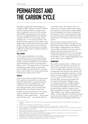### **PERMAFROST AND THE CARBON CYCLE**

The failure to adequately consider long-term feedbacks in IPCC estimates of climate sensitivity in climate models, and hence in projections of future warming, lies at the heart of the problem with the IPCC reporting process. Over century time-scales, amplifying feedbacks may ultimately contribute 28–68% of total warming, yet they comprise only  $1-7\%$  of current warming.<sup>77</sup> The land sink (storage capacity) for  $\mathrm{CO}_2$  appears much smaller than is currently factored into some climate models.78 Thus, future patterns of warming may be distinctly different from past patterns, making it difficult to predict future warming by relying on past observations.

#### **SOIL CARBON**

A 2016 study concluded that a soil carboncycle feedback "has not been incorporated into computer models used to project future climate change, raising the possibility that such models are underestimating the amount of warming that is likely to occur".79 The projected loss of soil carbon resulting from climate change is a potentially large but highly uncertain feedback to warming, however there is likely to be strong carbon-climate feedbacks from colder northern soils.80

#### **FORESTS**

At the moment about one-third of human-caused  $\mathrm{CO}_2$  emissions are absorbed by trees and other plants. But rapid climate warming and unusual rainfall patterns are jeopardising many of the world's trees, due to more frequent drought, pest outbreaks and fires. This is starting to have profound effects on the Earth's carbon cycle.

In 2009, researchers found that 2°C of warming could cut in half the carbon sink of tropical rainforests.<sup>81</sup> Some tropical forests — in the Congo, and in Southeast Asia — have already shifted to

a net carbon source. The tropics are now a net carbon source, with losses owing to deforestation and reductions in carbon density within standing forests being double that of gains resulting from forest growth.82 Other work has projected a longterm, self-reinforcing carbon feedback from midlatitude forests to the climate system as the world warms.<sup>83</sup>

There has been an observed decline in the Amazon carbon sink. Negative synergies between deforestation, climate change, and widespread use of fire indicate a tipping point for the Amazon system to flip to non-forest ecosystems in eastern, southern and central Amazonia at 20–25% deforestation. Researchers say the severe droughts of 2005, 2010 and 2015-16 could well represent the first flickers of this ecological tipping point, and say the whole system is oscillating.<sup>84</sup>

#### **PERMAFROST**

The world's permafrost holds 1.5 trillion tons of frozen carbon, more than twice the amount of carbon in the atmosphere. On land, it covers an area of 15 million square kilometres. The Arctic is warming faster than anywhere else on Earth, and some permafrost degradation is already occurring. Large-scale tundra wildfires in 2012 added to the concern, as have localised methane outbursts.

The 2007 IPCC assessment on permafrost did not venture beyond saying: "Changes in snow, ice and frozen ground have with high confidence increased the number and size of glacial lakes, increased ground instability in mountain and other permafrost regions and led to changes in some Arctic and Antarctic ecosystems". It reported with "high confidence" that "methane emissions from tundra… and permafrost have accelerated in the past two decades, and are likely to accelerate further". It offered no projections regarding permafrost melt.

<sup>77</sup> Proistosescu, C & Huybers, P 2017, 'Slow climate mode reconciles historical and model-based estimates of climate sensitivity', *Science Advances*, vol. 3, e1602821.

<sup>78</sup> Bradford, A 2017, 'A leaky sink', *Nature Climate Change*, vol. 7, pp. 475-476

<sup>79</sup> Crowther T. et al. 2016, 'Quantifying global soil carbon losses in response to warming', *Nature*, vol. 540, pp. 104-108.

<sup>80</sup> Koven, C, Hugelius, G, Lawrence, DM & Wieder, WR 2017, 'Higher climatological temperature sensitivity of soil carbon in cold than warm climates', *Nature Climate Change*, vol. 7, pp. 817-822.

<sup>81</sup> Murray, J 2009, 'Research warns two degree rise will halve rainforest "carbon sink"', Business Green, 3 March 2009, <http://www.businessgreen.com/ business-green/news/2237656/research-warns-two-degree>.

<sup>82</sup> Baccini, A, Walker, W, Carvalho, L, Farina, M, Sulla-Menashe, D & Houghton, RA 2017, 'Tropical forests are a net carbon source based on aboveground measurements of gain and loss', *Science*, vol. 358, pp. 230-234.

<sup>83</sup> Melillo, JM, Frey, SD, DeAngelis, KM, Werner, WJ, Bernard, MJ, Bowles, FP, Pold, G, Knorr, MA & Grandy, AS 2017, 'Long-term pattern and magnitude of soil carbon feedback to the climate system in a warming world', *Science*, vol. 358, pp. 101-105.

<sup>84</sup> Lovejoy, T & Nobre, C 2018, 'Amazon Tipping Point', *Science Advances*, vol. 4, eaat2340.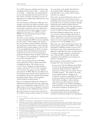Yet, in 2005, Lawrence and Slater had shown that a doubling of  $\mathop{\rm CO}_{2}$  levels by  $2100$  — a path to  $3^{\circ}\mathop{\rm C}_{2}$ of warming — would reduce the land permafrost area by more than half and melt much of the top three metres.85 (In 2017, permafrost area loss was estimated to be 4 million square kilometres for each 1°C of warming.)

The 2014 *Summary for Policymakers* (*SPM)* said: "It is virtually certain that near-surface permafrost extent at high northern latitudes will be reduced as global mean surface temperature increases, with the area of permafrost near the surface (upper 3.5 meters) projected to decrease by 37% (RCP2.6) to 81% (RCP8.5) for the multi-model average (medium confidence)." That was it.

The effect of the permafrost carbon feedback has not been included in the IPCC scenarios, including the  $2014$  report.<sup>86</sup> This is despite clear evidence that "the permafrost carbon feedback will change the Arctic from a carbon sink to a source after the mid-2020s and is strong enough to cancel 42–88% of the total global land sink". In 2012, researchers found that, for the 2100 median forecasts, there would be 0.23–0.27°C of extra warming due to permafrost feedbacks. Some scientists consider that 1.5°C appears to be something of a "tipping point" for extensive permafrost thaw.87

A 2014 study estimated that up to 205 billion tonnes equivalent of  $\mathrm{CO}_2^{}$  could be released due to melting permafrost. This would cause up to 0.5°C extra warming for the high emissions scenario, and up to 0.15°C of extra warming for a 2°C scenario. The authors say that: "Climate projections in the IPCC *Fifth Assessment Report*, and any emissions targets based on those projections, do not adequately account for emissions from thawing permafrost and the effects of the permafrost carbon feedback on global climate."88

But, even if human greenhouse gas emissions are stabilised, permafrost carbon loss may continue for many years and simulations suggest that 225 to 345 billion tonnes of  $\mathrm{CO}_2$  may eventually be released to the atmosphere for the stabilization target of  $2^{\circ}C^{89}$ 

Recently attention has turned to the question of the stability of large methane hydrate stores below

the ocean floor on the shallow East Siberian Arctic Shelf (ESAS). (Methane hydrates are cage-like lattices of ice within which methane molecules are trapped.)

These stores are protected from the warmer ocean temperatures above by a layer of frozen sub-sea permafrost. The concern is that warmer water could create taliks (areas of unfrozen permafrost) through which large-scale methane emissions from the hydrates could escape into the water column above, and into the atmosphere. This possibility was raised in 2013 by Whiteman, Hope and Wadhams. $90$ 

Prof. Peter Wadhams explained that "the loss of sea ice leads to seabed warming, which leads to offshore permafrost melt, which leads to methane release, which leads to enhanced warming, which leads to even more rapid uncovering of seabed", and this is not "a low probability event".<sup>91</sup>

More than a few experts derided these claims. The model estimates reported by the IPCC are that the degradation of ESAS permafrost cannot exceed several metres this century, and the formation of taliks that would allow the release of large amounts of methane will take hundreds or thousands of years. Thus the IPCC considers the potential contribution of the ESAS into the emissions of methane as insignificant.<sup>92</sup>

But researchers say that model is no longer correct. In August 2017, they announced that:

In some areas of the East Siberian Arctic Shelf the roof of the subsea permafrost had already reached the depth of hydrates' stability the destruction of which may cause massive releases of bubble methane… The results of our study ensure fundamentally new insights of the mechanism of processes responsible for the state of subsea permafrost in the East Siberian Arctic Shelf which, according to various estimates, concentrates up to 80% and more of entire subsea permafrost in the Northern Hemisphere, under which there are huge hydrocarbon reserves in the forms of hydrates, oil and free gas."93

A deceptively optimistic picture is painted when the potential impacts from the degradation of permafrost and methane hydrates are underplayed.

<sup>85</sup> Lawrence, DM & Slater, AG 2005, 'A projection of severe near‐surface permafrost degradation during the 21st century', *Geophysical Research Letters*, vol. 32, L22401.

<sup>86</sup> UNEP 2012, Policy Implications of Warming Permafrost, United Nations Environment Program, Nairobi.

<sup>87</sup> MacDougall, A, Avis, C & Weaver, AJ 2012, 'Significant contribution to climate warming from the permafrost carbon feedback', *Nature Geoscience*, vol. 5, pp. 719–721; Schaefer, K, Zhang, T, Bruhwiler & Barrett, A 2011, 'Amount and timing of permafrost carbon release in response to climate warming', *Tellus B*, vol. 63, no. 2, pp. 165-180; Vaks, A, Gutareva, OS, Breitenbach, SF, Avirmed, E, Mason, AJ, Thomas, AL, Osinzev, AV & Henderson, GM 2013, 'Speleothems reveal 500,000-year history of Siberian permafrost', *Science*, vol. 340, no. 6129, pp. 183-186.

<sup>88</sup> Schaefer, K, Lanuit, H, Romanovsky, V, Schuur, E & Witt, R 2014, 'The impact of the permafrost carbon feedback on global climate', *Environmental Research Letters*, vol. 9, no. 8, 085003.

<sup>89</sup> Burke, EJ, Chadburn, SE, Huntingford, C & Jones, CD 2018, 'CO2 loss by permafrost thawing implies additional emissions reductions to limit warming to 1.5 or 2°C', *Environmental Research Letters*, vol. 13, 024024.

<sup>90</sup> Whiteman, G, Hope, C & Wadhams, P 2013, 'Climate science: Vast costs of Arctic change", *Nature*, vol. 499, pp. 401–403.

<sup>91</sup> Ahmed, N 2013, 'Ice-free Arctic in two years heralds methane catastrophe – scientist', *The Guardian*, 25 July 2103 .

<sup>92</sup> Tomsk Polytechnic University 2017, Russian scientists deny climate model of IPCC', Eureka Alert, 15 August 2017, <https://www.eurekalert.org/ pub\_releases/2017-08/tpu-rsd081517.php>.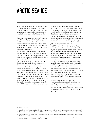### **ARCTIC SEA ICE**

In 2007, the IPCC reported: "Satellite data since 1978 show that annual average Arctic sea-ice extent has shrunk by 2.7% per decade" and "late summer sea ice is projected to disappear almost completely towards the end of the twenty-first century".

That same year, the summer retreat of Arctic sea ice wildly out-distanced all 18 IPCC computer models. One scientist exclaimed that is was melting "one hundred years ahead of schedule". Many models, including those on which the 2007 IPCC report had relied, did not fully capture the dynamics of sea-ice loss.

Prof. Michael E. Mann says sea-ice modellers had "speculated that the 2007 minimum was an aberration… a matter of random variability, noise in the system, that sea ice would recover.… that no longer looks tenable".<sup>94</sup>

Yet, two years earlier, Prof. Tore Furevik of the Geophysical Institute in Bergen had already demonstrated that actual Arctic sea-ice retreat had been greater than estimates in any of the Arctic models reported by the IPCC. By 2007, a wider range of scientists had presented evidence that the Arctic may be free of all summer sea-ice as early as 2030.95 Of this, the 2007 IPCC report said nothing.

There was a similar, mind-numbing drop in Arctic sea ice in 2012 to levels unseen in millennia, with the summer minimum sea-ice volume just one-third of that just 30 years earlier, increasing the margin by which IPCC projections had been too conservative.

Yet, in an astonishing understatement, the 2014 IPCC report said: "Year-round reductions in Arctic sea ice are projected for all RCP scenarios." It said a nearly ice-free Arctic Ocean in the summer was likely for the highest emissions scenario only.

In reality, summer ice is thinning faster than every climate projection, tipping points have been crossed for sea-ice-free summer conditions, and today scientists say an ice-free summer Arctic could be just years away, not many decades.

Model limitations "are hindering our ability to predict the future state of Arctic sea ice" and the majority of general climate models "have not been able to adequately reproduce observed multidecadal sea-ice variability and trends in the pan-Arctic region", so their trend in September Arctic sea-ice extent "is approximately 30 years behind the observed trend".96

The loss of sea ice reduces the planet's reflectivity and adds to warming, but this positive feedback is not fully incorporated into models in circumstances where the rate of sea-ice loss is more rapid than expected in the models, as is occurring now. To keep global temperature increase below 2°C, global  $\rm CO_{2}$  emissions would need to reach zero 5–15 years earlier and the carbon budget would need to be reduced by  $20-51\%$  to offset this additional source of warming.<sup>97</sup>

Because climate models are missing key realworld interactions and generally have been poor at dealing with the rate of Arctic sea-ice retreat, expert elicitations play a key role in considering whether the Arctic has passed a very significant and dangerous tipping point.98 But the IPCC has not done this.

<sup>94</sup> Scherer 2012a, op. cit.

<sup>95</sup> Serreze, MC, Holland, MM & Stroeve, J 2007, 'Perspectives on the Arctic's shrinking sea ice cover', *Science*, vol. 315, no. 5818, pp. 1533-1536; Stroeve, J, Holland, MM, Meier, W, Scambos, T & Serreze, M 2007, 'Arctic sea ice decline: Faster than forecast?', *Geophysical Research Letters*, vol. 34, no. 9, L09501.

<sup>96</sup> Maslowski, W, Kinney, JC, Higgins, M & Roberts, A 2012, 'The future of Arctic sea ice', *The Annual Review of Earth and Planetary Sciences*, vol. 20, pp. 625- 654.

<sup>97</sup> Gonzalez-Eguino, M, Neumann, MB, Arto, I, Capellán‐Perez, I & Faria, SH 2017, 'Mitigation implications of an ice-free summer in the Arctic Ocean', *Earth's Future*, vol. 5, pp. 59-66.

<sup>98</sup> Livina, VN & Lenton, TM 2013, 'A recent tipping point in the Arctic sea-ice cover: abrupt and persistent increase in the seasonal cycle since 2007', *The Cryosphere*, vol. 7, pp. 275-286; Maslowski, Kinney et al 2012., op. cit.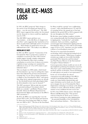### **POLAR ICE-MASS LOSS**

In 1995, the IPCC projected "little change in the extent of the Greenland and Antarctic ice sheets… over the next 50-100 years". The 2001 IPCC report suggested that neither the Greenland nor the Antarctic ice sheets would lose significant mass by 2100.

The 2007 IPCC report said there were "uncertainties… in the full effects of changes in ice sheet flow", and a suggestion that "partial loss of ice sheets on polar land could imply metres of sea-level rise… Such changes are projected to occur over millennial time scales". The reality is very different.

#### **GREENLAND ICE SHEET**

In 2007, the IPCC reported: "Contraction of the Greenland Ice Sheet is projected to continue to contribute to sea-level rise after 2100. Current models suggest virtually complete elimination of the Greenland Ice Sheet and a resulting contribution to sea-level rise of about seven metres if global average warming were sustained for millennia in excess of 1.9 to 4.6°C relative to preindustrial values."

This was despite two 2006 studies, which found the Greenland ice cap "may be melting three times faster than indicated by previous measurements", warnings that "we are close to being committed to a collapse of the Greenland Ice Sheet" and reports that rising Arctic regional temperatures are already at "the threshold beyond which glaciologists think the [Greenland] ice sheet may be doomed".99

The 2007 assessment "did not take into account the potential melting of Greenland, which I think was a mistake", said Robert Watson, Chief Scientific Advisor for Britain's Department for Environmental Affairs and chairman of the IPCC's 2001 assessment.100

By 2014, the IPCC was reporting that "over the period 1992 to 2011, the Greenland and Antarctic ice sheets have been losing mass, likely at a larger rate over 2002 to 2011". The loss of the Greenland Ice Sheet would be a period "over a millennium or more", with a threshold between 1°C and 4°C of warming. In fact, the annual rate of loss had doubled in the period 2003 to 2010 compared with the rate throughout the 20th century.<sup>101</sup>

By this time, many leading cryosphere scientists were saying informally that Greenland had passed its tipping point, "is already lost", and similar sentiments. And a year before, a significant research paper had estimated the tipping point for Greenland Ice Sheet as 1.6°C (with an uncertainty range of 0.8 to 3.2°C). And there was clear satellite evidence of accelerating ice-mass loss.<sup>102</sup>

The loss of ice mass from Greenland is accelerating, which is drawing increasing levels of concerns from scientists. "What keeps cryosphere scientists up at night are irreversible thresholds, particularly West Antarctica and Greenland," says Pam Pearson, Director of the International Cryosphere Climate Initiative.103

Current-generation climate models are not yet all that helpful for predicting Greenland ice-mass loss. They have a poor understanding of the processes involved, and the acceleration, retreat and thinning of outlet glaciers are poorly or not represented.104

In the case of Greenland, the adverse consequences for policymaking of the IPCC's method of privileging global climate model results over observations, historical data and expert elicitations can be clearly seen. It is hard not to imagine the rate of Greenland Ice Sheet deglaciation continuing to accelerate as the climate continues to warm, reflectivity declines, and late summer ocean conditions become sea-ice free.

In 2012, then NASA climate science chief James Hansen told Bloomberg that: "Our greatest concern is that loss of Arctic sea ice creates a grave threat of passing two other tipping points – the potential instability of the Greenland Ice Sheet and methane hydrates… These latter two

<sup>99</sup> Rignot, E & Kanagaratnam, P 2006, 'Changes in the velocity structure of the Greenland ice sheet', *Science*, vol. 311, no. 5763, pp. 986-90; Chen, JL, Wilson, CR & Tapley, BD 2006, 'Satellite gravity measurements confirm accelerated melting of Greenland ice', *Science*, vol. 313, pp. 1958–60; Young, K 2006, "Greenland ice cap may be melting at triple speed", *New Scientist*, 10 August, 2006.

<sup>100</sup> AFP 2008, 'Climate change gathers steam, say scientists', Space Daily, 30 November 2008, <http://www.spacedaily.com/2006/081130055637.szeh21pj. html>.

<sup>101</sup> Mooney, C, 2015, 'Greenland has lost a staggering amount of ice — and it's only getting worse', *Washington Post*, 16 December 2015.

<sup>102</sup> Robinson, A, Calov, R & Ganopolski, A 2012, 'Multistability and critical thresholds of the Greenland ice sheet', *Nature Climate Change*, vol. 2, pp. 429–432.

<sup>103</sup> UPFSI 2017, op cit.

<sup>104</sup> Maslowski, Kinney et al. 2012, op cit.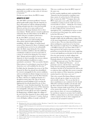tipping points would have consequences that are practically irreversible on time scales of relevance to humanity."<sup>105</sup>

On this very grave threat, the IPCC is mute.

#### **ANTARCTIC ICE SHEET**

The 2007 IPCC assessment proffered: "Current global model studies project that the Antarctic ice sheet will remain too cold for widespread surface melting and gain mass due to increased snowfall. However, net loss of ice mass could occur if dynamical ice discharge dominates the ice sheet mass balance." Reality and new research would soon undermine this one-sided reliance by the IPCC on models with poor cryosphere performance.

By the 2014 IPCC assessment, the story was: "Based on current understanding (from observations, physical understanding and modelling), only the collapse of marine-based sectors of the Antarctic Ice Sheet, if initiated, could cause global mean sea level to rise substantially above the likely range during the 21st century. There is medium confidence that this additional contribution would not exceed several tenths of a metre of sea-level rise during the 21st century." And: "Abrupt and irreversible ice loss from the Antarctic ice sheet is possible, but current evidence and understanding is insufficient to make a quantitative assessment." This was another blunder. Observations of accelerating ice mass loss in West

Antarctica were well established by this time.<sup>106</sup>

It is likely that the Amundsen Sea sector of the West Antarctic Ice Sheet has already been destabilized. Ice retreat is unstoppable for the current conditions, and no acceleration in climate change is necessary to trigger the collapse of the rest of the West Antarctic Ice Sheet, with loss of a significant fraction on a decadal-to-century time scale. One of the most significant research findings in 2014 was that the tipping point has already passed for one of these "long-term" events. Scientists found that "the retreat of ice in the Amundsen Sea sector of West Antarctica was unstoppable, with major consequences – it will mean that sea levels will rise one metre worldwide… Its disappearance will likely trigger the collapse of the rest of the West Antarctic ice sheet, which comes with a sea-level rise of between 3–5 metres. Such an event will displace millions of people worldwide."107

In 2016, another significant study concluded that: "Antarctica has the potential to contribute more than a metre of sea-level rise by 2100 and more than 15 metres by 2500."108 Compare this to the IPCC report, just a year earlier, that Antarctica's contribution to rising sea levels would "not exceed several tenths of a meter… during the 21st century".

As well, partial deglaciation of the East Antarctic ice sheet is likely for the current level of atmospheric  $\mathrm{CO}_2$ , contributing ten metres or more of sea-level rise in the longer run, and five metres in the first  $200$  years.<sup>109</sup>

The increasing rate of change in Antarctica was brought to light with the publication, in June 2018, of the most-comprehensive-yet analysis of changes to the ice sheet. The new data showed that oceandriven melting has caused rates of ice loss from West Antarctica to triple from  $53 \pm 29$  billion to 159  $\pm$  26 billion tonnes per year from 1992 to 2017.<sup>110</sup> Forty percent of the total ice mass loss over that period has occurred in the last five years, suggesting a recent and significant acceleration in the loss rate.

Over the same period, ice-shelf collapse had increased the rate of ice loss from the Antarctic Peninsula almost five-fold from  $7 + 13$  billion to 33 ± 16 billion tonnes per year. Two West Antarctic glaciers – Pine Island and Thwaites — are of particular concern, with the latter "increasingly being viewed as posing a potential planetary emergency because of its enormous size and its role as a gateway that could allow the ocean to someday access the entirety of West Antarctica, turning the marine-based ice sheet into a new sea".<sup>111</sup>

This is the scenario Prof. James Hansen warned about a decade ago in a paper on sea-level rise and scientific reticence: "Let us say that the ice sheet contribution is one centimetre for the decade 2005-2015 and that it doubles each decade until the West Antarctic Ice Sheet is largely depleted. That time constant yields sea-level rise of the order of five metres this century. Of course I can not prove that my choice of a ten-year doubling time for non-linear response is accurate, but I would bet \$1000 to a donut that it is a far better estimate than a linear response for the ice sheet component of sea-level rise [of around 0.5 metre]."<sup>112</sup>

<sup>105</sup> Bloomberg, 2012, 'Arctic sea ice heads for record low', Bloomberg, 17 August 2012, <http://www.bloomberg.com/news/2012-08-17/arctic-sea-iceheads-for-record-low-as-melt-exceeds-forecasts.html>.

<sup>106</sup> Velicogna, I 2009, 'Increasing rates of ice mass loss from the Greenland and Antarctic ice sheets revealed by GRACE', *Geophysical Research Letters*, vol. 36, L19503.

<sup>107</sup> Rignot, E, Mouginot, J, Morlighem, M, Seroussi, H & Scheuchl, B 2014, 'Widespread, rapid grounding line retreat of Pine Island, Thwaites, Smith, and Kohler glaciers, West Antarctica, from 1992 to 2011', *Geophysical Research Letters*, vol. 41, pp. 3502–3509.

<sup>108</sup> DeConto, R & Pollard, D 2016, 'Contribution of Antarctica to past and future sea-level rise', *Nature*, vol. 531, pp. 591–597.

<sup>109</sup> Pollard, D, DeConto, R & Alley, R 2015, 'Potential Antarctic Ice Sheet retreat driven by hydrofracturing and ice cliff failure', *Earth Planetary Science Letters*, vol. 412, pp. 112– 121.

<sup>110</sup> The IMBIE Team 2018, "Mass balance of the Antarctic Ice Sheet from 1992 to 2017", *Nature*, vol. 558, pp. 219–222.

<sup>111</sup> Mooney, C 2018, "Antarctic ice loss has tripled in a decade. If that continues, we are in serious trouble", *Washington Post*, 13 June 2018.

<sup>112</sup> Hansen, J 2007, op. cit.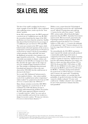## **SEA LEVEL RISE**

The fate of the world's coastlines has become a classic example of how the IPCC, when confronted with conflicting science, tends to go for the "least drama" position.

In the 2001 assessment report, the IPCC projected a sea-level rise of 2 millimetres per year. By 2007, the researchers found that the range of the 2001 predictions were lower than the actual rise. Satellite data showed that levels had risen by an average of 3.3 millimetres per year between 1993 and 2006.

The worst-case scenario in the 2007 report, which looked mostly at thermal expansion of the oceans as temperatures warmed, projected up to 0.59 metre of sea-level rise by century's end. In an extraordinary verbal contortion, it then said it did "not assess the likelihood, nor provide a best estimate or an upper bound for sea-level rise… The projections do not include uncertainties in climate–carbon cycle feedbacks nor the full effects of changes in ice sheet flow, therefore the upper values of the ranges are not to be considered upper bounds for sea-level rise. They include a contribution from increased Greenland and Antarctic ice flow at the rates observed for 1993-2003, but this could increase or decrease in the future."

Yet, in early 2007, Rahmstorf had presented a "semi-empirical relation… that connects global sea-level rise to global mean surface temperature" which resulted "in a projected sea-level rise in 2100 of 0.5 to 1.4 meters above the 1990 level".<sup>113</sup> Many climate scientists received the 2007 IPCC report's suggestion of a sea-level rise of 18–59 centimetres by 2100 with dismay, because it seriously underestimated the problem. Even before the 2007 report appeared, Hansen warned of a "scientific reticence" which "in a case such as ice-sheet instability and sea-level rise (results in) a danger in excessive caution. We may rue reticence, if it serves to lock in future disasters."114

Within a year, a report from the US Geological Survey warned that sea-level rise will "substantially exceed" official UN projections and could top 1.5 metres by the end of the century.115 And by 2009, various studies offered drastically higher projections than the IPCC. Australian Government reports noted: "Recent research, presented at the Copenhagen Climate Congress in March 2009, projected sea-level rise from 0.75 to 1.9 metres relative to 1990, with 1.1–1.2 metres the midrange of the projection." And: "Current estimates of sealevel rise range from 0.50 metre to over 2 metres by 2100."116

Yet extraordinarily, the 2014 IPCC assessment report repeated the mistake and actually produced a numerically smaller figure (0.55 metre as compared to 0.59 metre in 2007) despite mounting evidence of polar ice-mass loss: "Global mean sealevel rise will continue during the 21st century, very likely at a faster rate than observed from 1971 to 2010. For the period 2081–2100 relative to 1986– 2005, the rise will likely be in the ranges of 0.26 to 0.55 metre for RCP2.6, and of 0.45 to 0.82 metre for RCP8.5." And then, having noted estimates for sea-level rise to 2100 of between 1.15 metres and 2.4 metres, the report said: "Considering this inconsistent evidence, we conclude that the probability of specific levels above the likely range cannot be reliably evaluated." If some work could not be "reliably evaluated", how could they be sure of the much lower estimates that they had quantified?

<sup>113</sup> Rahmstorf 2007, op cit.

<sup>114</sup> Hansen 2007, op cit.

<sup>115</sup> Randerson, J 2008, 'Sea level could rise by 150cm, US scientists warn', *The Guardian*, 16 December 2008.

<sup>116</sup> Australian Government, 2009, *Climate Change Risks to Australia's Coasts: A first pass national assessment*, Australian Government, Canberra; CSIRO 2009, *Science Update 2009*, no. 2, November 2009, Australian Government, Canberra.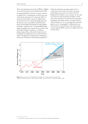This event shot down any shreds of IPCC credibility on sea-level rise that may have lingered after 2007. An updated NOAA sea-level rise report, released in August 2017, recommends a revised worst-case sea-level rise scenario of 2.5 metres by 2100, 5.5 metres by 2150 and 9.7 metres by 2200. It says sea-level science has "advanced significantly over the last few years, especially (for) land-based ice sheets in Greenland and Antarctica under global warming", and hence the "correspondingly larger range of possible 21st century rise in sea level than previously thought". It points to "continued and growing evidence that both Antarctica and Greenland are losing mass at an accelerated rate", which "strengthens an argument for considering worst-case scenarios in coastal risk management".117 Today the discussion amongst experts is for a sea-level rise this century of at least one metre, and perhaps in excess of two metres. The US Department of Defence uses scenarios of one and two metres for risk assessments. Evidence (cited above) that Antarctica by itself has the potential to contribute more than a metre of sea-level rise by 2100, and that at 1°C of warming, West Antarctic glaciers are in "unstoppable" meltdown for oneto-four metres of sea-level rise, only add to grave concern that the IPCC reports are simply irrelevant on this matter.



**Figure 4:** Observed sea-level rise 1970-2010 from tide gauge data (red) and satellite measurements (blue) compared to model projections for 1990-2010 from the IPCC (grey band). (Source: *The Copenhagen Diagnosis*, 2009)

<sup>117</sup> NOAA 2017, *Global and regional sea-level rise scenarios for the United States*, NOAA, Silver Spring MA.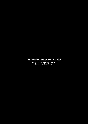Political reality must be grounded in physical<br>reality or it's completely useless."<br> $\frac{1}{\sqrt{2}}$  (*lie*) **reality or it's completely useless."**

*Prof. Hans Joachim Schellnhuber, 2009*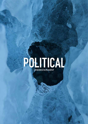

What Lies Beneath 33 and 200 percent and 200 percent and 200 percent and 200 percent and 200 percent and 200 percent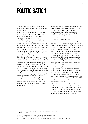## **POLITICISATION**

Much has been written about the inadequacy of IPCC processes, and the politicisation of its decision-making.

Scientists say one reason the IPCC's work is too conservative is that unwieldy processes mean reports do not take the most recent research into account. The cutoff point for science to be considered in a report is so far in advance of publication that the reports are out of date upon release. This is a crucial failure in a field of research that is rapidly changing. Inez Fung at the Berkeley Institute of the Environment, California says that for her research to be considered in the 2007 IPCC report, she had to complete it by 2004. This is a typical experience that she identifies as "an awful lag in the IPCC process".<sup>118</sup>

IPCC *Assessment Reports* are compiled by working groups of scientists within guidelines that urge the building of consensus conclusions from evidence presented, though that evidence itself may be diverse and sometimes contradictory in nature. The general result may be described as middle-ofthe-road reporting. Propositions supported by the greater quantity of research papers presented win out against propositions that might be outliers in terms of quantity of papers presented, though the latter may be no less scientifically significant. The higher-impact possibilities may have less research available for consideration, but there are good risk-management reasons for giving such possibilities more prominence, even if the event probability is relatively low.

For example, the projected sea-level rise in the 2007 report was well below the subsequent observations. This occurred because scientists compiling the report could not agree on how much would be added to sea-level rise by melting polar ice sheets, and so left out the data altogether to reach "consensus". Science historian Naomi Oreskes calls this "consensus by omission".<sup>119</sup>

This is the consensus problem at the scientific level, but there is also a problem at the political level. In the first instance, the powerful coordinating authors for reports are selected by political representatives of the 195 member nations of the IPCC.

In the second instance, whilst the full-length IPCC *Assessment Reports* are compiled by scientists, the shorter and more widely reported SPMs require consensus from diplomats in "a painstaking, lineby-line revision by [political] representatives from more than 100 world governments — all of whom must approve the final summary document".<sup>120</sup>

As early as the IPCC's first report in 1990, the United States, Saudi Arabian and Russian delegations acted in "watering down the sense of the alarm in the wording, beefing up the aura of uncertainty".121 Prof. Martin Parry of the UK Met Office, co-chairman of an IPCC working group at the time, exposed the arguments between scientists and political officials over the 2007 IPCC *SPM*: "Governments don't like numbers, so some numbers were brushed out of it."<sup>122</sup>

In 2014, *The Guardian* reported increasing evidence that "the policy summaries on climate impacts and mitigation by the IPCC were significantly 'diluted' under political pressure from some of the world's biggest greenhouse gas emitters, including Saudi Arabia, China, Brazil and the United States".123

<sup>118</sup> Barras, C 2007, 'Rocketing CO2 prompts criticisms of IPCC', *New Scientist*, 24 October 2007.

<sup>119</sup> Scherer 2012a, op cit.

<sup>120</sup> Ibid.

<sup>121</sup> Leggett, J 1999, *The Carbon War: Global warming and the end of the oil era*, Routledge, New York.

<sup>122</sup> Adam, D 2007, 'How climate change will affect the world', *The Guardian*, 20 September 2007.

<sup>123</sup> Ahmed, N 2014, 'IPCC reports 'diluted' under 'political pressure' to protect fossil fuel interests', *The Guardian*, 15 May 2014.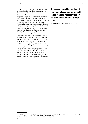One of the 2014 report's more powerful sections was deleted during last minute negotiations over the text. The section tried to specify other measures that would indicate whether we are entering a danger zone of profound climate impact, and just how dramatic emissions cuts will have to be in order to avoid crossing that threshold. Prof. Michael Oppenheimer, an eminent climate scientist at Princeton University who was also part of the core writing team, suggests that politics got in the way.<sup>124</sup> Oliver Gedden, head of the EU Research Division at the German Institute for International and Security Affairs in Berlin, says climate scientists and economists who counsel policymakers are being pressured to extend their models and options for delivering mitigation later, which has "introduced dubious concepts, such as repaying 'carbon debt' through 'negative emissions' to offset delayed mitigation — in theory".<sup>125</sup> He says that climate researchers who advise policymakers feel that they have two options, to be pragmatic or be ignored: "Many advisers are choosing pragmatism… Each year, mitigation scenarios that explore policy options for transforming the global economy are more optimistic — and less plausible… The scientific community must defend its independence from outside interference."126

**"It may seem impossible to imagine that a technologically advanced society could choose, in essence, to destroy itself, but that is what we are now in the process**  of doing."

*Elizabeth Kolbert, Field Notes from a Catastrophe, 2006*

<sup>124</sup> Leggett, J 2014, 'Why two crucial pages were left out of the latest UN climate report', Jeremy Leggett, 4 November 2014, <http://www.jeremyleggett. net/2014/11/why-two-crucial-pages-were-left-out-of-the-latest-u-n-climate-report/>.

<sup>125</sup> Geden, O 2015, 'Climate advisers must maintain integrity', *Nature*, vol. 52, pp. 27-28.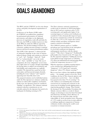## **GOALS ABANDONED**

The IPCC and the UNFCCC are the twin climate science and policy development organisations of the UN.

Conferences of the Parties (COPs) under the UNFCCC are political fora, populated by professional representatives of national governments, and subject to the diplomatic processes of negotiation, trade-offs and deals. In this sense, the COPs are similar in process to that of the IPCC by which the *SPM* are agreed by diplomats. The decision-making is inclusive (by consensus), making outcomes hostage to national interests and lowest-common-denominator politics.

The COP 21 *Paris Agreement<sup>127</sup>* is almost devoid of substantive language on the cause of humaninduced climate change and contains no reference to "coal", "oil", "fracking", "shale oil", "fossil fuel" or "carbon dioxide", nor to the words "zero", "ban", "prohibit" or "stop". By way of comparison, the term "adaptation" occurs more than eighty times in 31 pages, though responsibility for forcing others to adapt is not mentioned, and both liability and compensation are explicitly excluded. The *Agreement* has a goal but no firm action plan, and bureaucratic jargon abounds, including the terms "enhance" and "capacity" appearing more than fifty times each.

The proposed emission cuts by individual nations under the *Paris Agreement* are voluntary (unilateral), without an enforceable compliance mechanism. In this sense, the *Agreement* cannot be considered "binding" on signatories. The voluntary national emission reduction commitments are not critically analysed in the *Agreement*, but noted to be inadequate for limiting warming to 2°C.

The Paris voluntary national commitments would result in emissions in 2030 being higher than in 2015 and are consistent with a 3.4°C warming path, and significantly higher if the warming impacts of carbon-cycle feedbacks are considered. Unless dramatically improved upon, the present commitments exclude the attainment of either the 1.5°C or 2°C targets this century without wholly unrealistic assumptions about negative-emission technologies.

The UNFCCC primary goal is to "stabilize greenhouse gas concentrations in the atmosphere at a level that would prevent dangerous anthropogenic interference with the climate system".128 But what is "dangerous"? Traditionally, policymakers have focused on the 2°C target, but the *Paris Agreement* emphasises "holding the increase in the global average temperature to well below 2°C above pre-industrial levels and pursuing efforts to limit the temperature increase to 1.5°C".

With the experience of global warming impacts so far, scientists have distinguished between "dangerous" (1-2°C band) and "extremely dangerous" (above 2°C) climate warming.129

But we now have evidence that significant tipping points –– for example, summer sea-ice-free Arctic conditions, the loss of West Antarctic glaciers and a multi-metre sea-level rise –– have very likely been passed at less than 1°C of warming.130 As well, evidence is accumulating that around the current level of warming more elements of the system may be heading towards tipping points or experiencing qualitative change. These include the slowing of the Thermohaline Circulation (the Atlantic conveyor), likely as a result of climate change; accelerating ice-mass loss from Greenland and Antarctica; declining carbon efficiency of the Amazon forests and other sinks; and the vulnerability of Arctic permafrost stores. Warming of 1.5°C would set sea-level rises in train sufficient to challenge significant components of human civilisation, besides reducing the world's coral ecosystems to remnant structures.

<sup>127</sup> UN 2015, *Paris Agreement*, United Nations, New York, <http://unfccc.int/files/essential\_background/convention/application/pdf/english\_paris\_ agreement.pdf>.

<sup>128</sup> UNFCCC n.d., 'First steps to a safer future: Introducing The United Nations Framework Convention on Climate Change', United Nations, <http:// unfccc.int/essential\_background/convention/items/6036.php>.

<sup>129</sup> Anderson, K & Bows, A 2011 'Beyond 'dangerous' climate change: emission scenarios for a new world', *Philosophical Transactions of the Royal Society A vol*. 369, pp. 20–44.

<sup>130</sup> Livina & Lenton 2013, op. cit.; Rignot, Mouginot et al. 2014, op. cit.; DeConto & Pollard 2016, op. cit.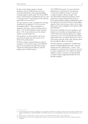In other words, climate change is already dangerous, but the UNFCCC processes have not acknowledged this reality, proposing higher warming targets as policy goals. Nor has the IPCC process, with the lags in its publication process, and a "burning embers" representation of the risks that again looks too conservative.<sup>131</sup>

An expert panel recently concluded that warming would need to be limited to 1.2°C to save the Great Barrier Reef.132 That is probably too optimistic, but with a current warming trend of about 1.1°C and 2016 global average warming above 1.2°C, it also demonstrates that climate change is already dangerous.

The question as to what would be safe for the protection of people and other species is not addressed by policymakers.

If climate change is already dangerous, then by setting the 1.5°C and 2°C targets, the UNFCCC process has abandoned the goal of preventing "dangerous anthropogenic influence with the climate system" for this century.

The UNFCCC key goals "to ensure that food production is not threatened" and achieving "a time-frame sufficient to allow ecosystems to adapt naturally to climate change" have been discarded for all practical purposes. Food production is already threatened by rising sea levels and inundation, shifting rainfall patterns and desertification, and extreme heatwave and wildfire episodes. Such events became a driver of the Arab Spring and a threat multiplier in the Syrian conflict and in Darfur.<sup>133</sup>

Ecosystems, including coral reefs, mangroves and kelp forests in Australia, are degrading fast as the world's sixth mass extinction gathers pace. Major ecosystems are now severely degraded and climate policymakers have no realistic agreement to save or restore them, from the Arctic to the Amazon, from the Great Barrier Reef to the Sahel.

The *Paris Agreement* recognised the "fundamental priority of safeguarding food security" (note the change from the original goal to "ensure" food production is not threatened). It made no reference to earlier commitments to act within time-frames sufficient to allow ecosystems to adapt naturally to climate change, suggesting this goal has been (literally) dropped.

<sup>131</sup> O'Neill, B, Oppenheimer, M, Warren, R, Hallegatte, S, Kopp, RE, Portner, HO, Scholes, R, Birkmann, J, Foden, W, Mach, K, Marbaix, P, Mastrandrea, M, Price, J, Takahashi, K, van Ypersele, JP & Yohe, G 2017, 'IPCC reasons for concern regarding climate change risks', *Nature Climate Change*, vol. 7, pp. 28–37.

<sup>132</sup> Hannam, P 2017, 'Warming limit of 1.2 degrees needed to save Great Barrier Reef: expert panel', *The Age*, 2 August 2017.

<sup>133</sup> Werrell, CE & Femia, F 2013, *The Arab Spring and Climate Change*, edn., Centre for American Progress/Stimson/The Center for Climate and Security, Washington.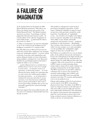### **A FAILURE OF IMAGINATION**

At the London School of Economics in 2008, Queen Elizabeth questioned: "Why did no one foresee the timing, extent and severity of the Global Financial Crisis?" The British Academy answered a year later: "A psychology of denial gripped the financial and corporate world… [it was] the failure of the collective imagination of many bright people… to understand the risks to the system as a whole."134

A "failure of imagination" has also been identified as one of the reasons for the breakdown in US intelligence around the 9/11 attacks in 2001. Prof. Max Bazerman of Harvard University has asked why societies fail to implement wise strategies to prevent "predictable surprises", a term he coined to describe events that catch organisations and nations off-guard, despite necessary information being available to anticipate the event. Bazerman identifies five psychological patterns that help to explain the failure to act on climate:

... positive illusions lead us to conclude that a problem doesn't exist or is not severe enough to merit action… we interpret events in an egocentric, or self-serving, manner… we overly discount the future, despite our contentions that we want to leave the world in good condition for future generations… we try desperately to maintain the status quo and refuse to accept any harm, even when the harm would bring about a greater good [and] we don't want to invest in preventing a problem that we have not personally experienced or witnessed through vivid data."<sup>135</sup>

Bazerman suggests that many political leaders will not want to act until great, demonstrable harm has already occurred.

This problem is widespread at senior levels of government and global corporations. A 2016 report, *Thinking the Unthinkable* (see page 9), based on interviews with top leaders around the world, found that: "A proliferation of 'unthinkable' events… has revealed a new fragility at the highest levels of corporate and public service leaderships. Their ability to spot, identify and handle unexpected, non-normative events is… perilously inadequate at critical moments… Remarkably, there remains a deep reluctance, or what might be called 'executive myopia', to see and contemplate even the possibility that 'unthinkables' might happen, let alone how to handle them."<sup>136</sup>

Such failures are manifested in two ways in climate policy. At the political, bureaucratic and business levels in the underplaying of the high-end risks and in failing to recognise that the existential risks of climate change are totally different from other risk categories. And, at the research level, as embodied in IPCC reports, in underestimating climate change impacts, along with an under-emphasis on, and poor communication of, the high-end risks. The IPCC reports have not provided a sufficient evidentiary base to answer a key question for normative policymaking: what would be safe? As noted previously, IPCC processes paid little attention to less than 2°C scenarios until prompted to do so by the political sector.

Climate policymaking at all levels of government uses the reports of the IPCC as the primary physical science basis. The failure of the IPCC to report in a balanced manner on the full range of risks and to fully account for high-end outcomes leaves policymakers ill-informed. This undermines the capacity of governments and communities to make the correct decisions to protect their wellbeing, or indeed to protect human civilisation as a whole, in the face of existential risks.

<sup>134</sup> Stewart, H 2009, 'This is how we let the credit crunch happen, Ma'am …', *The Guardian*, 26 July.

<sup>135</sup> Bazerman, M 2006, 'Climate change as a predictable surprise', *Climatic Change*, vol. 77, pp. 179–193.

<sup>136</sup> Gowing, N & Langdon, C 2016, op cit.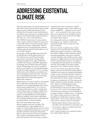### **ADDRESSING EXISTENTIAL CLIMATE RISK**

This report demonstrates the risk that both the speed and extent of future human-induced climate change impacts has been badly underestimated. At the social level lies the massive inertia of global leaders, who still have great reluctance in accepting that their approach must fundamentally change if humanity, and nature, are to have sustainable futures.

The UNFCCC formally aims for climate policies which "enable economic development to proceed in a sustainable manner*"*. In practice, priority is given to short-term economic considerations. Thus the emphasis has been on ensuring that the emissionsreduction paths developed for policymakers are not economically disruptive.

For example, in 2006 and 2008 respectively, both Sir Nicholas Stern and Prof. Ross Garnaut, in their initial reports to the UK and Australian governments, canvassed the 450 ppm and the 550 ppm atmospheric  $\mathrm{CO}_2^{}$  targets. Whilst both concluded that 450 ppm would inflict significantly less damage, they nevertheless advocated starting with the 550 ppm figure because they considered the lower goal would be too economically disruptive. (550 ppm is roughly equivalent to 3°C of warming before carbon cycle feedbacks are considered, and truly devastating for people and nature). They have since acknowledged that evidence of accelerating climate impacts has rendered this approach dangerously complacent.

Rapid reduction of carbon emissions is still excluded from consideration by policymakers because it is deemed to be too economically dislocating. The fact that the present political path of 3°C or more of warming would result in a world overwhelmed by extreme climate impacts, leading to outright chaos, is avoided. The dominant neo-liberal framing of progress, through globalisation and deregulation, suppresses regulatory action which would address the real climate challenge because it undermines the prevailing political–economic orthodoxy.

Discussion around policy choices gives primary emphasis to the role of markets. The commodification of carbon pollution for the purposes of market trading, and the virtue of carbon pricing, are emphasised by policymakers as the most desirable method for achieving decarbonisation. However, these discussions have become unrealistic. They accept the continuing expansion of fossil fuels in the first half of the 21st century, eventually

counteracted by massive expansion of negative emission technologies, such as carbon capture and storage and BECCS — which do not even exist at  $scale — in the second half of the century to draw$ down excess carbon from the atmosphere. But, by that time it will be too late to prevent irreversible, catastrophic climate impacts.

In so doing, policymakers are complicit today in destroying the very conditions which make human life possible. There is no greater crime against humanity.

After three decades of global inaction, climate change is now an existential risk to humanity. It implies large negative consequences, which will be irreversible, resulting in major reductions in global and national population, mass species extinction, economic disruption and social chaos, unless carbon emissions are rapidly reduced. The risk is immediate, in that it is being locked in today by our insistence on expanding and sustaining the use of fossil fuels when the carbon budget to stay below sensible temperature increase limits is already exhausted.

As one of the countries most exposed to climate impacts, and in the top half dozen carbon polluters worldwide when exports are included, this should be a major concern to Australia. Instead, it is ignored, with many parliamentarians refusing to even accept that human-induced climate change is happening.

In signing and ratifying the 2015 *Paris Agreement*, the global community, Australia included, committed to the objectives of limiting global average temperature increase to "well below 2°C above pre-industrial levels and to pursue efforts to limit the increase to 1.5°C", and "to reach global peaking of greenhouse gas emissions as soon as possible, in accordance with best available science", recognising that "climate change represents an urgent and potentially irreversible threat to human societies and the planet". To meet those objectives, climate action must be reframed around two principles:

- Human-induced climate change represents an immediate and existential threat to humanity; and
- An emergency response is essential if that threat is to be properly addressed.

Such a response should seek to normatively achieve these clearly defined objectives.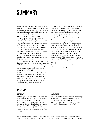### **SUMMARY**

Human-induced climate change is an existential risk to human civilisation: an adverse outcome that will either annihilate intelligent life or permanently and drastically curtail its potential, unless carbon emissions are rapidly reduced.

Special precautions that go well beyond conventional risk management practice are required if the increased likelihood of very large climate impacts — known as "fat tails" — are to be adequately dealt with. The potential consequences of these lower-probability, but higher-impact, events would be devastating for human societies.

The bulk of climate research has tended to underplay these risks, and exhibited a preference for conservative projections and scholarly reticence, although increasing numbers of scientists have spoken out in recent years on the dangers of such an approach.

Climate policymaking and the public narrative are significantly informed by the important work of the IPCC. However, IPCC reports also tend toward reticence and caution, erring on the side of "least drama", and downplaying the more extreme and more damaging outcomes.

Whilst this has been understandable historically, given the pressure exerted upon the IPCC by political and vested interests, it is now becoming dangerously misleading with the acceleration of climate impacts globally. What were lowerprobability, higher-impact events are now becoming more likely.

This is a particular concern with potential climatic tipping points — passing critical thresholds which result in step changes in the climate system — such as the polar ice sheets (and hence sea levels), and permafrost and other carbon stores, where the impacts of global warming are non-linear and difficult to model with current scientific knowledge.

However the extreme risks to humanity, which these tipping points represent, justify strong precautionary management. Under-reporting on these issues is irresponsible, contributing to the failure of imagination that is occurring today in our understanding of, and response to, climate change.

If climate policymaking is to be soundly based, a reframing of scientific research within an existential risk-management framework is now urgently required. This must be taken up not just in the work of the IPCC, but also in the UNFCCC negotiations if we are to address the real climate challenge.

Current processes will not deliver either the speed or the scale of change required.

### **REPORT AUTHORS**

#### **IAN DUNLOP**

Ian Dunlop is a senior member of the Advisory Board for Breakthrough. Ian was an international oil, gas and coal industry executive, chairman of the Australian Coal Association and chief executive of the Australian Institute of Company Directors. From 1998-2000 he chaired the Australian Greenhouse Office Experts Group on Emissions Trading. Ian is a member of the Club of Rome.

#### **DAVID SPRATT**

David Spratt is Research Director for Breakthrough and co-author of *Climate Code Red: The case for emergency action*. His recent work includes *Recount: It's time to 'Do the math' again*, *Climate Reality Check* and *Disaster Alley: Climate change, conflict and risk*.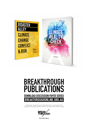

### **BREAKTHROUGH** PUBLICATIONS **DOWNLOAD DISCUSSION PAPER SERIES** BREAKTHROUGHONLINE.ORG.AU

Breakthrough - National Centre for Climate Restoration is an independent body developing critical thought leadership to influence the climate debate and policy making.



**@breakthroughccr**